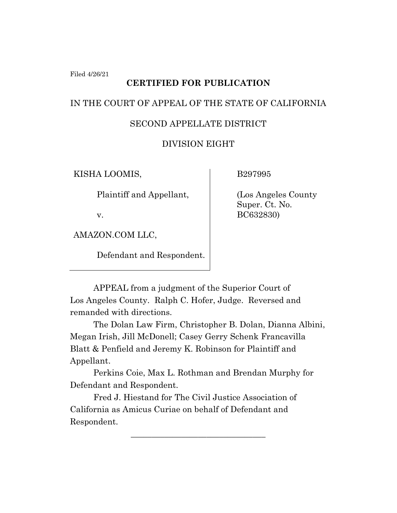Filed 4/26/21

# **CERTIFIED FOR PUBLICATION**

## IN THE COURT OF APPEAL OF THE STATE OF CALIFORNIA

## SECOND APPELLATE DISTRICT

# DIVISION EIGHT

KISHA LOOMIS,

Plaintiff and Appellant,

v.

AMAZON.COM LLC,

Defendant and Respondent.

B297995

(Los Angeles County Super. Ct. No. BC632830)

APPEAL from a judgment of the Superior Court of Los Angeles County. Ralph C. Hofer, Judge. Reversed and remanded with directions.

The Dolan Law Firm, Christopher B. Dolan, Dianna Albini, Megan Irish, Jill McDonell; Casey Gerry Schenk Francavilla Blatt & Penfield and Jeremy K. Robinson for Plaintiff and Appellant.

Perkins Coie, Max L. Rothman and Brendan Murphy for Defendant and Respondent.

\_\_\_\_\_\_\_\_\_\_\_\_\_\_\_\_\_\_\_\_\_\_\_\_\_\_\_\_\_\_\_\_

Fred J. Hiestand for The Civil Justice Association of California as Amicus Curiae on behalf of Defendant and Respondent.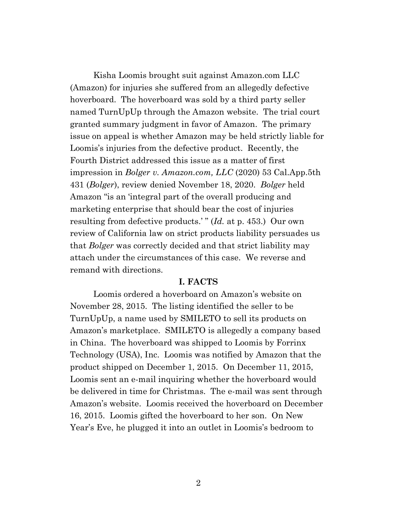Kisha Loomis brought suit against Amazon.com LLC (Amazon) for injuries she suffered from an allegedly defective hoverboard. The hoverboard was sold by a third party seller named TurnUpUp through the Amazon website. The trial court granted summary judgment in favor of Amazon. The primary issue on appeal is whether Amazon may be held strictly liable for Loomis's injuries from the defective product. Recently, the Fourth District addressed this issue as a matter of first impression in *Bolger v. Amazon.com, LLC* (2020) 53 Cal.App.5th 431 (*Bolger*), review denied November 18, 2020. *Bolger* held Amazon "is an 'integral part of the overall producing and marketing enterprise that should bear the cost of injuries resulting from defective products.'" (*Id.* at p. 453.) Our own review of California law on strict products liability persuades us that *Bolger* was correctly decided and that strict liability may attach under the circumstances of this case. We reverse and remand with directions.

#### **I. FACTS**

Loomis ordered a hoverboard on Amazon's website on November 28, 2015. The listing identified the seller to be TurnUpUp, a name used by SMILETO to sell its products on Amazon's marketplace. SMILETO is allegedly a company based in China. The hoverboard was shipped to Loomis by Forrinx Technology (USA), Inc. Loomis was notified by Amazon that the product shipped on December 1, 2015. On December 11, 2015, Loomis sent an e-mail inquiring whether the hoverboard would be delivered in time for Christmas. The e-mail was sent through Amazon's website. Loomis received the hoverboard on December 16, 2015. Loomis gifted the hoverboard to her son. On New Year's Eve, he plugged it into an outlet in Loomis's bedroom to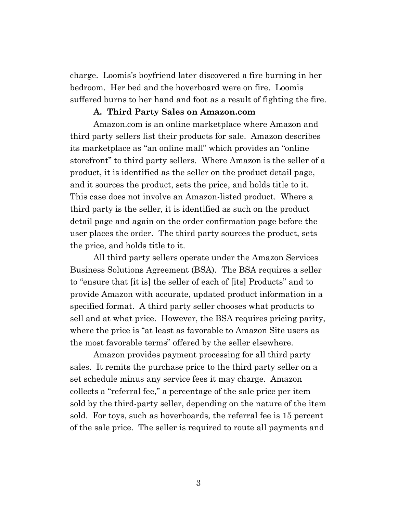charge. Loomis's boyfriend later discovered a fire burning in her bedroom. Her bed and the hoverboard were on fire. Loomis suffered burns to her hand and foot as a result of fighting the fire.

#### **A. Third Party Sales on Amazon.com**

Amazon.com is an online marketplace where Amazon and third party sellers list their products for sale. Amazon describes its marketplace as "an online mall" which provides an "online storefront" to third party sellers. Where Amazon is the seller of a product, it is identified as the seller on the product detail page, and it sources the product, sets the price, and holds title to it. This case does not involve an Amazon-listed product. Where a third party is the seller, it is identified as such on the product detail page and again on the order confirmation page before the user places the order. The third party sources the product, sets the price, and holds title to it.

All third party sellers operate under the Amazon Services Business Solutions Agreement (BSA). The BSA requires a seller to "ensure that [it is] the seller of each of [its] Products" and to provide Amazon with accurate, updated product information in a specified format. A third party seller chooses what products to sell and at what price. However, the BSA requires pricing parity, where the price is "at least as favorable to Amazon Site users as the most favorable terms" offered by the seller elsewhere.

Amazon provides payment processing for all third party sales. It remits the purchase price to the third party seller on a set schedule minus any service fees it may charge. Amazon collects a "referral fee," a percentage of the sale price per item sold by the third-party seller, depending on the nature of the item sold. For toys, such as hoverboards, the referral fee is 15 percent of the sale price. The seller is required to route all payments and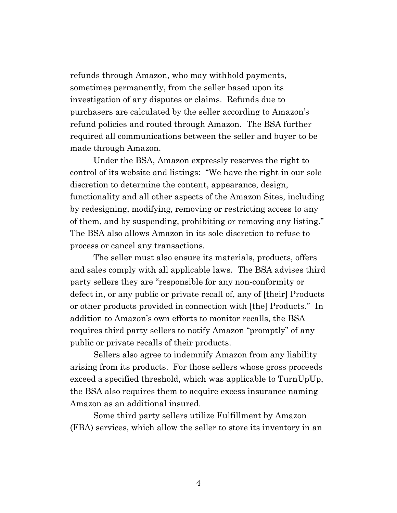refunds through Amazon, who may withhold payments, sometimes permanently, from the seller based upon its investigation of any disputes or claims. Refunds due to purchasers are calculated by the seller according to Amazon's refund policies and routed through Amazon. The BSA further required all communications between the seller and buyer to be made through Amazon.

Under the BSA, Amazon expressly reserves the right to control of its website and listings: "We have the right in our sole discretion to determine the content, appearance, design, functionality and all other aspects of the Amazon Sites, including by redesigning, modifying, removing or restricting access to any of them, and by suspending, prohibiting or removing any listing." The BSA also allows Amazon in its sole discretion to refuse to process or cancel any transactions.

The seller must also ensure its materials, products, offers and sales comply with all applicable laws. The BSA advises third party sellers they are "responsible for any non-conformity or defect in, or any public or private recall of, any of [their] Products or other products provided in connection with [the] Products." In addition to Amazon's own efforts to monitor recalls, the BSA requires third party sellers to notify Amazon "promptly" of any public or private recalls of their products.

Sellers also agree to indemnify Amazon from any liability arising from its products. For those sellers whose gross proceeds exceed a specified threshold, which was applicable to TurnUpUp, the BSA also requires them to acquire excess insurance naming Amazon as an additional insured.

Some third party sellers utilize Fulfillment by Amazon (FBA) services, which allow the seller to store its inventory in an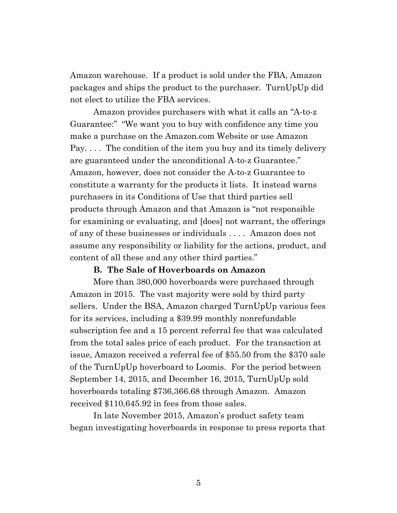Amazon warehouse. If a product is sold under the FBA, Amazon packages and ships the product to the purchaser. TurnUpUp did not elect to utilize the FBA services.

Amazon provides purchasers with what it calls an "A-to-z Guarantee:" "We want you to buy with confidence any time you make a purchase on the Amazon.com Website or use Amazon Pay. . . . The condition of the item you buy and its timely delivery are guaranteed under the unconditional A-to-z Guarantee." Amazon, however, does not consider the A-to-z Guarantee to constitute a warranty for the products it lists. It instead warns purchasers in its Conditions of Use that third parties sell products through Amazon and that Amazon is "not responsible for examining or evaluating, and [does] not warrant, the offerings of any of these businesses or individuals . . . . Amazon does not assume any responsibility or liability for the actions, product, and content of all these and any other third parties."

#### **B. The Sale of Hoverboards on Amazon**

More than 380,000 hoverboards were purchased through Amazon in 2015. The vast majority were sold by third party sellers. Under the BSA, Amazon charged TurnUpUp various fees for its services, including a \$39.99 monthly nonrefundable subscription fee and a 15 percent referral fee that was calculated from the total sales price of each product. For the transaction at issue, Amazon received a referral fee of \$55.50 from the \$370 sale of the TurnUpUp hoverboard to Loomis. For the period between September 14, 2015, and December 16, 2015, TurnUpUp sold hoverboards totaling \$736,366.68 through Amazon. Amazon received \$110,645.92 in fees from those sales.

In late November 2015, Amazon's product safety team began investigating hoverboards in response to press reports that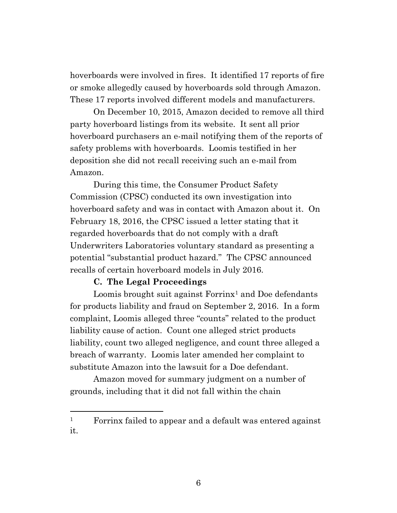hoverboards were involved in fires. It identified 17 reports of fire or smoke allegedly caused by hoverboards sold through Amazon. These 17 reports involved different models and manufacturers.

On December 10, 2015, Amazon decided to remove all third party hoverboard listings from its website. It sent all prior hoverboard purchasers an e-mail notifying them of the reports of safety problems with hoverboards. Loomis testified in her deposition she did not recall receiving such an e-mail from Amazon.

During this time, the Consumer Product Safety Commission (CPSC) conducted its own investigation into hoverboard safety and was in contact with Amazon about it. On February 18, 2016, the CPSC issued a letter stating that it regarded hoverboards that do not comply with a draft Underwriters Laboratories voluntary standard as presenting a potential "substantial product hazard." The CPSC announced recalls of certain hoverboard models in July 2016.

#### **C. The Legal Proceedings**

Loomis brought suit against  $\text{Forrinx}^1$  and Doe defendants for products liability and fraud on September 2, 2016. In a form complaint, Loomis alleged three "counts" related to the product liability cause of action. Count one alleged strict products liability, count two alleged negligence, and count three alleged a breach of warranty. Loomis later amended her complaint to substitute Amazon into the lawsuit for a Doe defendant.

Amazon moved for summary judgment on a number of grounds, including that it did not fall within the chain

<sup>&</sup>lt;sup>1</sup> Forrinx failed to appear and a default was entered against it.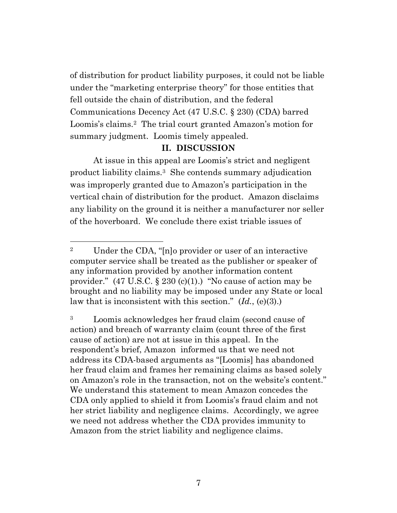of distribution for product liability purposes, it could not be liable under the "marketing enterprise theory" for those entities that fell outside the chain of distribution, and the federal Communications Decency Act (47 U.S.C. § 230) (CDA) barred Loomis's claims.<sup>2</sup> The trial court granted Amazon's motion for summary judgment. Loomis timely appealed.

## **II. DISCUSSION**

At issue in this appeal are Loomis's strict and negligent product liability claims. <sup>3</sup> She contends summary adjudication was improperly granted due to Amazon's participation in the vertical chain of distribution for the product. Amazon disclaims any liability on the ground it is neither a manufacturer nor seller of the hoverboard. We conclude there exist triable issues of

<sup>2</sup> Under the CDA, "[n]o provider or user of an interactive computer service shall be treated as the publisher or speaker of any information provided by another information content provider."  $(47 \text{ U.S.C.} \S 230 \text{ (c)}(1))$ . "No cause of action may be brought and no liability may be imposed under any State or local law that is inconsistent with this section." (*Id.*, (e)(3).)

<sup>3</sup> Loomis acknowledges her fraud claim (second cause of action) and breach of warranty claim (count three of the first cause of action) are not at issue in this appeal. In the respondent's brief, Amazon informed us that we need not address its CDA-based arguments as "[Loomis] has abandoned her fraud claim and frames her remaining claims as based solely on Amazon's role in the transaction, not on the website's content." We understand this statement to mean Amazon concedes the CDA only applied to shield it from Loomis's fraud claim and not her strict liability and negligence claims. Accordingly, we agree we need not address whether the CDA provides immunity to Amazon from the strict liability and negligence claims.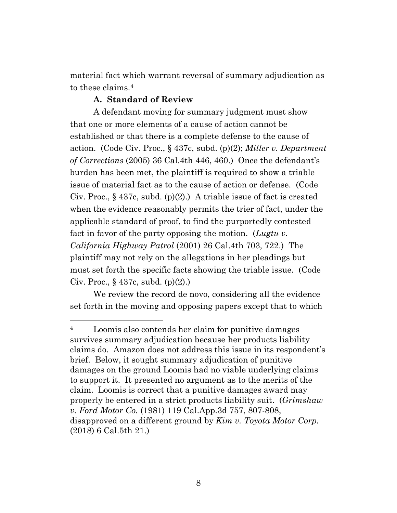material fact which warrant reversal of summary adjudication as to these claims.<sup>4</sup>

#### **A. Standard of Review**

A defendant moving for summary judgment must show that one or more elements of a cause of action cannot be established or that there is a complete defense to the cause of action. (Code Civ. Proc., § 437c, subd. (p)(2); *Miller v. Department of Corrections* (2005) 36 Cal.4th 446, 460.) Once the defendant's burden has been met, the plaintiff is required to show a triable issue of material fact as to the cause of action or defense. (Code Civ. Proc.,  $\S$  437c, subd. (p)(2).) A triable issue of fact is created when the evidence reasonably permits the trier of fact, under the applicable standard of proof, to find the purportedly contested fact in favor of the party opposing the motion. (*Lugtu v. California Highway Patrol* (2001) 26 Cal.4th 703, 722.) The plaintiff may not rely on the allegations in her pleadings but must set forth the specific facts showing the triable issue. (Code Civ. Proc.,  $\S$  437c, subd. (p)(2).)

We review the record de novo, considering all the evidence set forth in the moving and opposing papers except that to which

<sup>4</sup> Loomis also contends her claim for punitive damages survives summary adjudication because her products liability claims do. Amazon does not address this issue in its respondent's brief. Below, it sought summary adjudication of punitive damages on the ground Loomis had no viable underlying claims to support it. It presented no argument as to the merits of the claim. Loomis is correct that a punitive damages award may properly be entered in a strict products liability suit. (*Grimshaw v. Ford Motor Co.* (1981) 119 Cal.App.3d 757, 807-808, disapproved on a different ground by *Kim v. Toyota Motor Corp.* (2018) 6 Cal.5th 21.)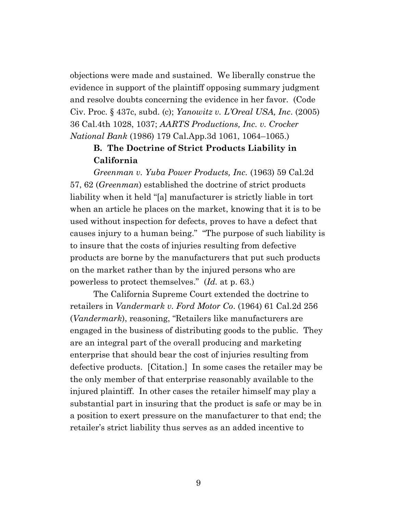objections were made and sustained. We liberally construe the evidence in support of the plaintiff opposing summary judgment and resolve doubts concerning the evidence in her favor. (Code Civ. Proc. § 437c, subd. (c); *Yanowitz v. L'Oreal USA, Inc*. (2005) 36 Cal.4th 1028, 1037; *AARTS Productions, Inc. v. Crocker National Bank* (1986) 179 Cal.App.3d 1061, 1064–1065.)

# **B. The Doctrine of Strict Products Liability in California**

*Greenman v. Yuba Power Products, Inc.* (1963) 59 Cal.2d 57, 62 (*Greenman*) established the doctrine of strict products liability when it held "[a] manufacturer is strictly liable in tort when an article he places on the market, knowing that it is to be used without inspection for defects, proves to have a defect that causes injury to a human being." "The purpose of such liability is to insure that the costs of injuries resulting from defective products are borne by the manufacturers that put such products on the market rather than by the injured persons who are powerless to protect themselves." (*Id.* at p. 63.)

The California Supreme Court extended the doctrine to retailers in *Vandermark v. Ford Motor Co*. (1964) 61 Cal.2d 256 (*Vandermark*), reasoning, "Retailers like manufacturers are engaged in the business of distributing goods to the public. They are an integral part of the overall producing and marketing enterprise that should bear the cost of injuries resulting from defective products. [Citation.] In some cases the retailer may be the only member of that enterprise reasonably available to the injured plaintiff. In other cases the retailer himself may play a substantial part in insuring that the product is safe or may be in a position to exert pressure on the manufacturer to that end; the retailer's strict liability thus serves as an added incentive to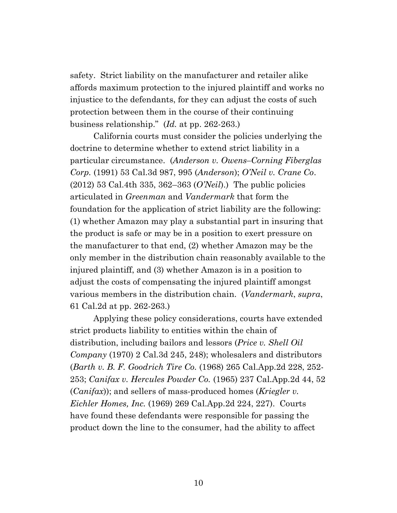safety. Strict liability on the manufacturer and retailer alike affords maximum protection to the injured plaintiff and works no injustice to the defendants, for they can adjust the costs of such protection between them in the course of their continuing business relationship." (*Id.* at pp. 262-263.)

California courts must consider the policies underlying the doctrine to determine whether to extend strict liability in a particular circumstance. (*Anderson v. Owens–Corning Fiberglas Corp.* (1991) 53 Cal.3d 987, 995 (*Anderson*); *O'Neil v. Crane Co*. (2012) 53 Cal.4th 335, 362–363 (*O'Neil*).) The public policies articulated in *Greenman* and *Vandermark* that form the foundation for the application of strict liability are the following: (1) whether Amazon may play a substantial part in insuring that the product is safe or may be in a position to exert pressure on the manufacturer to that end, (2) whether Amazon may be the only member in the distribution chain reasonably available to the injured plaintiff, and (3) whether Amazon is in a position to adjust the costs of compensating the injured plaintiff amongst various members in the distribution chain. (*Vandermark*, *supra*, 61 Cal.2d at pp. 262-263.)

Applying these policy considerations, courts have extended strict products liability to entities within the chain of distribution, including bailors and lessors (*Price v. Shell Oil Company* (1970) 2 Cal.3d 245, 248); wholesalers and distributors (*Barth v. B. F. Goodrich Tire Co.* (1968) 265 Cal.App.2d 228, 252- 253; *Canifax v. Hercules Powder Co.* (1965) 237 Cal.App.2d 44, 52 (*Canifax*)); and sellers of mass-produced homes (*Kriegler v. Eichler Homes, Inc.* (1969) 269 Cal.App.2d 224, 227). Courts have found these defendants were responsible for passing the product down the line to the consumer, had the ability to affect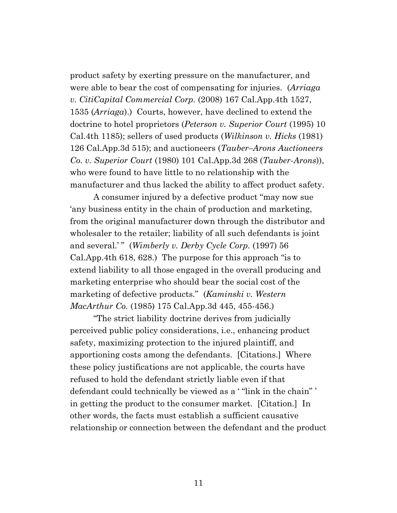product safety by exerting pressure on the manufacturer, and were able to bear the cost of compensating for injuries. (*Arriaga v. CitiCapital Commercial Corp.* (2008) 167 Cal.App.4th 1527, 1535 (*Arriaga*).) Courts, however, have declined to extend the doctrine to hotel proprietors (*Peterson v. Superior Court* (1995) 10 Cal.4th 1185); sellers of used products (*Wilkinson v. Hicks* (1981) 126 Cal.App.3d 515); and auctioneers (*Tauber–Arons Auctioneers Co. v. Superior Court* (1980) 101 Cal.App.3d 268 (*Tauber-Arons*)), who were found to have little to no relationship with the manufacturer and thus lacked the ability to affect product safety.

A consumer injured by a defective product "may now sue 'any business entity in the chain of production and marketing, from the original manufacturer down through the distributor and wholesaler to the retailer; liability of all such defendants is joint and several.'" (*Wimberly v. Derby Cycle Corp.* (1997) 56 Cal.App.4th 618, 628.) The purpose for this approach "is to extend liability to all those engaged in the overall producing and marketing enterprise who should bear the social cost of the marketing of defective products." (*Kaminski v. Western MacArthur Co.* (1985) 175 Cal.App.3d 445, 455-456.)

"The strict liability doctrine derives from judicially perceived public policy considerations, i.e., enhancing product safety, maximizing protection to the injured plaintiff, and apportioning costs among the defendants. [Citations.] Where these policy justifications are not applicable, the courts have refused to hold the defendant strictly liable even if that defendant could technically be viewed as a '"link in the chain"' in getting the product to the consumer market. [Citation.] In other words, the facts must establish a sufficient causative relationship or connection between the defendant and the product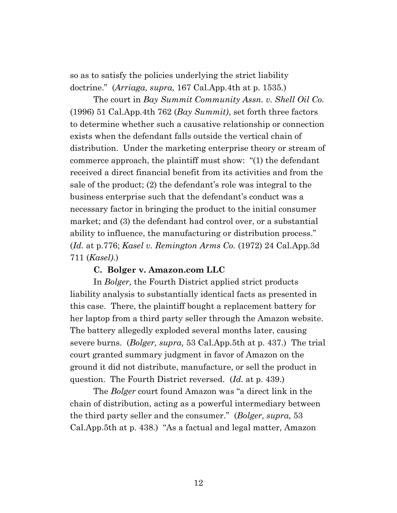so as to satisfy the policies underlying the strict liability doctrine." (*Arriaga, supra,* 167 Cal.App.4th at p. 1535.)

The court in *Bay Summit Community Assn. v. Shell Oil Co.* (1996) 51 Cal.App.4th 762 (*Bay Summit)*, set forth three factors to determine whether such a causative relationship or connection exists when the defendant falls outside the vertical chain of distribution. Under the marketing enterprise theory or stream of commerce approach, the plaintiff must show: "(1) the defendant received a direct financial benefit from its activities and from the sale of the product; (2) the defendant's role was integral to the business enterprise such that the defendant's conduct was a necessary factor in bringing the product to the initial consumer market; and (3) the defendant had control over, or a substantial ability to influence, the manufacturing or distribution process." (*Id.* at p.776; *Kasel v. Remington Arms Co.* (1972) 24 Cal.App.3d 711 (*Kasel)*.)

#### **C. Bolger v. Amazon.com LLC**

In *Bolger,* the Fourth District applied strict products liability analysis to substantially identical facts as presented in this case. There, the plaintiff bought a replacement battery for her laptop from a third party seller through the Amazon website. The battery allegedly exploded several months later, causing severe burns. (*Bolger, supra,* 53 Cal.App.5th at p. 437.) The trial court granted summary judgment in favor of Amazon on the ground it did not distribute, manufacture, or sell the product in question. The Fourth District reversed. (*Id.* at p. 439.)

The *Bolger* court found Amazon was "a direct link in the chain of distribution, acting as a powerful intermediary between the third party seller and the consumer." (*Bolger, supra,* 53 Cal.App.5th at p. 438.) "As a factual and legal matter, Amazon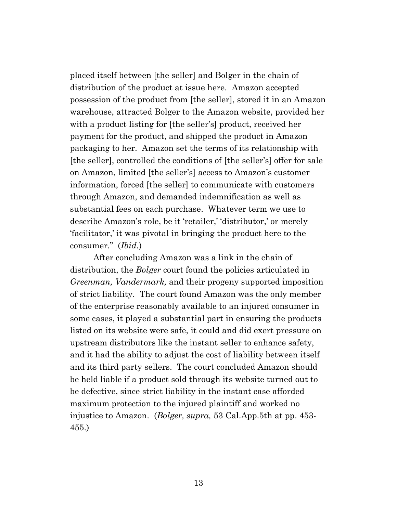placed itself between [the seller] and Bolger in the chain of distribution of the product at issue here. Amazon accepted possession of the product from [the seller], stored it in an Amazon warehouse, attracted Bolger to the Amazon website, provided her with a product listing for [the seller's] product, received her payment for the product, and shipped the product in Amazon packaging to her. Amazon set the terms of its relationship with [the seller], controlled the conditions of [the seller's] offer for sale on Amazon, limited [the seller's] access to Amazon's customer information, forced [the seller] to communicate with customers through Amazon, and demanded indemnification as well as substantial fees on each purchase. Whatever term we use to describe Amazon's role, be it 'retailer,' 'distributor,' or merely 'facilitator,' it was pivotal in bringing the product here to the consumer." (*Ibid.*)

After concluding Amazon was a link in the chain of distribution, the *Bolger* court found the policies articulated in *Greenman, Vandermark,* and their progeny supported imposition of strict liability. The court found Amazon was the only member of the enterprise reasonably available to an injured consumer in some cases, it played a substantial part in ensuring the products listed on its website were safe, it could and did exert pressure on upstream distributors like the instant seller to enhance safety, and it had the ability to adjust the cost of liability between itself and its third party sellers. The court concluded Amazon should be held liable if a product sold through its website turned out to be defective, since strict liability in the instant case afforded maximum protection to the injured plaintiff and worked no injustice to Amazon. (*Bolger, supra,* 53 Cal.App.5th at pp. 453- 455.)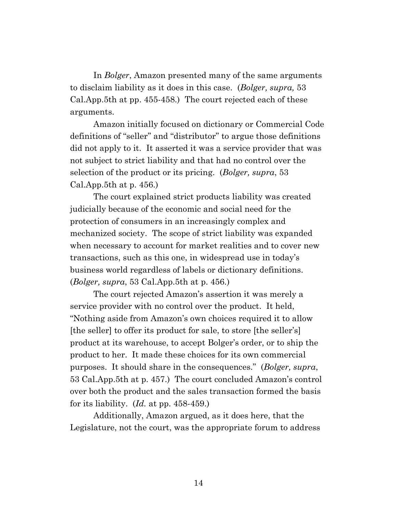In *Bolger*, Amazon presented many of the same arguments to disclaim liability as it does in this case. (*Bolger, supra,* 53 Cal.App.5th at pp. 455-458.) The court rejected each of these arguments.

Amazon initially focused on dictionary or Commercial Code definitions of "seller" and "distributor" to argue those definitions did not apply to it. It asserted it was a service provider that was not subject to strict liability and that had no control over the selection of the product or its pricing. (*Bolger, supra*, 53 Cal.App.5th at p. 456.)

The court explained strict products liability was created judicially because of the economic and social need for the protection of consumers in an increasingly complex and mechanized society. The scope of strict liability was expanded when necessary to account for market realities and to cover new transactions, such as this one, in widespread use in today's business world regardless of labels or dictionary definitions. (*Bolger, supra*, 53 Cal.App.5th at p. 456.)

The court rejected Amazon's assertion it was merely a service provider with no control over the product. It held, "Nothing aside from Amazon's own choices required it to allow [the seller] to offer its product for sale, to store [the seller's] product at its warehouse, to accept Bolger's order, or to ship the product to her. It made these choices for its own commercial purposes. It should share in the consequences." (*Bolger, supra*, 53 Cal.App.5th at p. 457.) The court concluded Amazon's control over both the product and the sales transaction formed the basis for its liability. (*Id.* at pp. 458-459.)

Additionally, Amazon argued, as it does here, that the Legislature, not the court, was the appropriate forum to address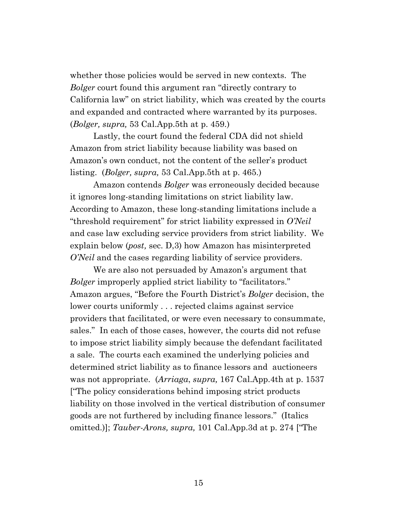whether those policies would be served in new contexts. The *Bolger* court found this argument ran "directly contrary to California law" on strict liability, which was created by the courts and expanded and contracted where warranted by its purposes. (*Bolger, supra,* 53 Cal.App.5th at p. 459.)

Lastly, the court found the federal CDA did not shield Amazon from strict liability because liability was based on Amazon's own conduct, not the content of the seller's product listing. (*Bolger, supra,* 53 Cal.App.5th at p. 465.)

Amazon contends *Bolger* was erroneously decided because it ignores long-standing limitations on strict liability law. According to Amazon, these long-standing limitations include a "threshold requirement" for strict liability expressed in *O'Neil* and case law excluding service providers from strict liability. We explain below (*post,* sec. D,3) how Amazon has misinterpreted *O'Neil* and the cases regarding liability of service providers.

We are also not persuaded by Amazon's argument that *Bolger* improperly applied strict liability to "facilitators." Amazon argues, "Before the Fourth District's *Bolger* decision, the lower courts uniformly . . . rejected claims against service providers that facilitated, or were even necessary to consummate, sales." In each of those cases, however, the courts did not refuse to impose strict liability simply because the defendant facilitated a sale. The courts each examined the underlying policies and determined strict liability as to finance lessors and auctioneers was not appropriate. (*Arriaga*, *supra,* 167 Cal.App.4th at p. 1537 ["The policy considerations behind imposing strict products liability on those involved in the vertical distribution of consumer goods are not furthered by including finance lessors." (Italics omitted.)]; *Tauber-Arons, supra,* 101 Cal.App.3d at p. 274 ["The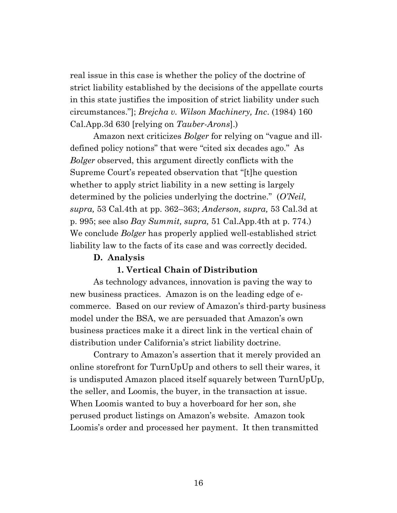real issue in this case is whether the policy of the doctrine of strict liability established by the decisions of the appellate courts in this state justifies the imposition of strict liability under such circumstances."]; *Brejcha v. Wilson Machinery, Inc*. (1984) 160 Cal.App.3d 630 [relying on *Tauber-Arons*].)

Amazon next criticizes *Bolger* for relying on "vague and illdefined policy notions" that were "cited six decades ago." As *Bolger* observed, this argument directly conflicts with the Supreme Court's repeated observation that "[t]he question whether to apply strict liability in a new setting is largely determined by the policies underlying the doctrine." (*O'Neil, supra,* 53 Cal.4th at pp. 362–363; *Anderson, supra,* 53 Cal.3d at p. 995; see also *Bay Summit, supra,* 51 Cal.App.4th at p. 774.) We conclude *Bolger* has properly applied well-established strict liability law to the facts of its case and was correctly decided.

#### **D. Analysis**

#### **1. Vertical Chain of Distribution**

As technology advances, innovation is paving the way to new business practices. Amazon is on the leading edge of ecommerce. Based on our review of Amazon's third-party business model under the BSA, we are persuaded that Amazon's own business practices make it a direct link in the vertical chain of distribution under California's strict liability doctrine.

Contrary to Amazon's assertion that it merely provided an online storefront for TurnUpUp and others to sell their wares, it is undisputed Amazon placed itself squarely between TurnUpUp, the seller, and Loomis, the buyer, in the transaction at issue. When Loomis wanted to buy a hoverboard for her son, she perused product listings on Amazon's website. Amazon took Loomis's order and processed her payment. It then transmitted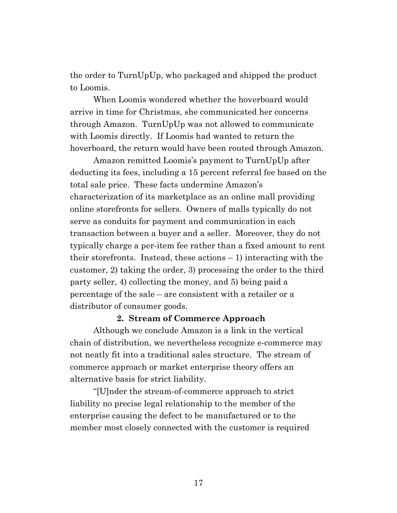the order to TurnUpUp, who packaged and shipped the product to Loomis.

When Loomis wondered whether the hoverboard would arrive in time for Christmas, she communicated her concerns through Amazon. TurnUpUp was not allowed to communicate with Loomis directly. If Loomis had wanted to return the hoverboard, the return would have been routed through Amazon.

Amazon remitted Loomis's payment to TurnUpUp after deducting its fees, including a 15 percent referral fee based on the total sale price. These facts undermine Amazon's characterization of its marketplace as an online mall providing online storefronts for sellers. Owners of malls typically do not serve as conduits for payment and communication in each transaction between a buyer and a seller. Moreover, they do not typically charge a per-item fee rather than a fixed amount to rent their storefronts. Instead, these actions – 1) interacting with the customer, 2) taking the order, 3) processing the order to the third party seller, 4) collecting the money, and 5) being paid a percentage of the sale – are consistent with a retailer or a distributor of consumer goods.

#### **2. Stream of Commerce Approach**

Although we conclude Amazon is a link in the vertical chain of distribution, we nevertheless recognize e-commerce may not neatly fit into a traditional sales structure. The stream of commerce approach or market enterprise theory offers an alternative basis for strict liability.

"[U]nder the stream-of-commerce approach to strict liability no precise legal relationship to the member of the enterprise causing the defect to be manufactured or to the member most closely connected with the customer is required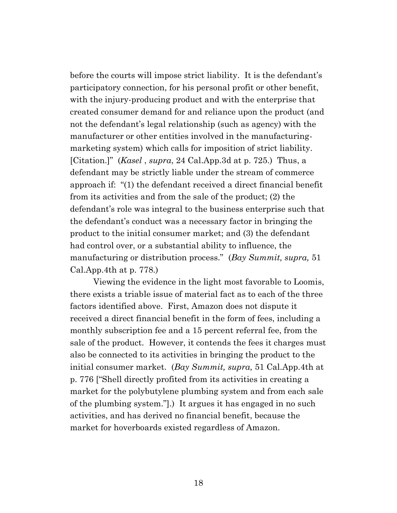before the courts will impose strict liability. It is the defendant's participatory connection, for his personal profit or other benefit, with the injury-producing product and with the enterprise that created consumer demand for and reliance upon the product (and not the defendant's legal relationship (such as agency) with the manufacturer or other entities involved in the manufacturingmarketing system) which calls for imposition of strict liability. [Citation.]" (*Kasel* , *supra*, 24 Cal.App.3d at p. 725.) Thus, a defendant may be strictly liable under the stream of commerce approach if: "(1) the defendant received a direct financial benefit from its activities and from the sale of the product; (2) the defendant's role was integral to the business enterprise such that the defendant's conduct was a necessary factor in bringing the product to the initial consumer market; and (3) the defendant had control over, or a substantial ability to influence, the manufacturing or distribution process." (*Bay Summit, supra,* 51 Cal.App.4th at p. 778.)

Viewing the evidence in the light most favorable to Loomis, there exists a triable issue of material fact as to each of the three factors identified above. First, Amazon does not dispute it received a direct financial benefit in the form of fees, including a monthly subscription fee and a 15 percent referral fee, from the sale of the product. However, it contends the fees it charges must also be connected to its activities in bringing the product to the initial consumer market. (*Bay Summit, supra,* 51 Cal.App.4th at p. 776 ["Shell directly profited from its activities in creating a market for the polybutylene plumbing system and from each sale of the plumbing system."].) It argues it has engaged in no such activities, and has derived no financial benefit, because the market for hoverboards existed regardless of Amazon.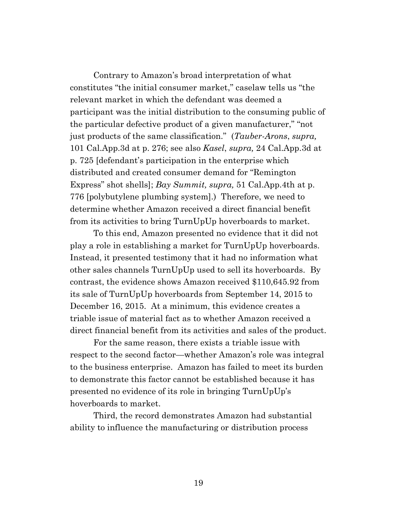Contrary to Amazon's broad interpretation of what constitutes "the initial consumer market," caselaw tells us "the relevant market in which the defendant was deemed a participant was the initial distribution to the consuming public of the particular defective product of a given manufacturer," "not just products of the same classification." (*Tauber-Arons*, *supra,* 101 Cal.App.3d at p. 276; see also *Kasel*, *supra,* 24 Cal.App.3d at p. 725 [defendant's participation in the enterprise which distributed and created consumer demand for "Remington Express" shot shells]; *Bay Summit, supra,* 51 Cal.App.4th at p. 776 [polybutylene plumbing system].) Therefore, we need to determine whether Amazon received a direct financial benefit from its activities to bring TurnUpUp hoverboards to market.

To this end, Amazon presented no evidence that it did not play a role in establishing a market for TurnUpUp hoverboards. Instead, it presented testimony that it had no information what other sales channels TurnUpUp used to sell its hoverboards. By contrast, the evidence shows Amazon received \$110,645.92 from its sale of TurnUpUp hoverboards from September 14, 2015 to December 16, 2015. At a minimum, this evidence creates a triable issue of material fact as to whether Amazon received a direct financial benefit from its activities and sales of the product.

For the same reason, there exists a triable issue with respect to the second factor—whether Amazon's role was integral to the business enterprise. Amazon has failed to meet its burden to demonstrate this factor cannot be established because it has presented no evidence of its role in bringing TurnUpUp's hoverboards to market.

Third, the record demonstrates Amazon had substantial ability to influence the manufacturing or distribution process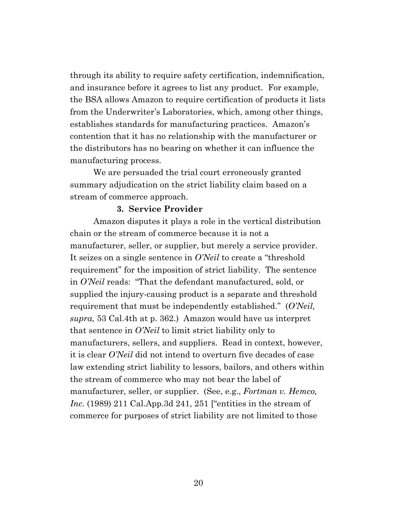through its ability to require safety certification, indemnification, and insurance before it agrees to list any product. For example, the BSA allows Amazon to require certification of products it lists from the Underwriter's Laboratories, which, among other things, establishes standards for manufacturing practices. Amazon's contention that it has no relationship with the manufacturer or the distributors has no bearing on whether it can influence the manufacturing process.

We are persuaded the trial court erroneously granted summary adjudication on the strict liability claim based on a stream of commerce approach.

#### **3. Service Provider**

Amazon disputes it plays a role in the vertical distribution chain or the stream of commerce because it is not a manufacturer, seller, or supplier, but merely a service provider. It seizes on a single sentence in *O'Neil* to create a "threshold requirement" for the imposition of strict liability. The sentence in *O'Neil* reads: "That the defendant manufactured, sold, or supplied the injury-causing product is a separate and threshold requirement that must be independently established." (*O'Neil, supra,* 53 Cal.4th at p. 362.) Amazon would have us interpret that sentence in *O'Neil* to limit strict liability only to manufacturers, sellers, and suppliers. Read in context, however, it is clear *O'Neil* did not intend to overturn five decades of case law extending strict liability to lessors, bailors, and others within the stream of commerce who may not bear the label of manufacturer, seller, or supplier. (See, e.g., *Fortman v. Hemco, Inc.* (1989) 211 Cal.App.3d 241, 251 ["entities in the stream of commerce for purposes of strict liability are not limited to those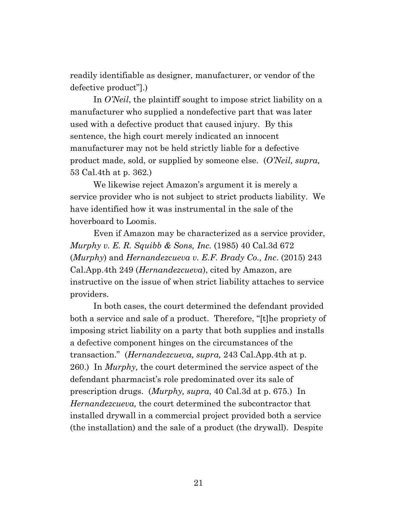readily identifiable as designer, manufacturer, or vendor of the defective product"].)

In *O'Neil*, the plaintiff sought to impose strict liability on a manufacturer who supplied a nondefective part that was later used with a defective product that caused injury. By this sentence, the high court merely indicated an innocent manufacturer may not be held strictly liable for a defective product made, sold, or supplied by someone else. (*O'Neil, supra,*  53 Cal.4th at p. 362*.*)

We likewise reject Amazon's argument it is merely a service provider who is not subject to strict products liability. We have identified how it was instrumental in the sale of the hoverboard to Loomis.

Even if Amazon may be characterized as a service provider, *Murphy v. E. R. Squibb & Sons, Inc.* (1985) 40 Cal.3d 672 (*Murphy*) and *Hernandezcueva v. E.F. Brady Co., Inc*. (2015) 243 Cal.App.4th 249 (*Hernandezcueva*), cited by Amazon, are instructive on the issue of when strict liability attaches to service providers.

In both cases, the court determined the defendant provided both a service and sale of a product. Therefore, "[t]he propriety of imposing strict liability on a party that both supplies and installs a defective component hinges on the circumstances of the transaction." (*Hernandezcueva, supra,* 243 Cal.App.4th at p. 260.) In *Murphy,* the court determined the service aspect of the defendant pharmacist's role predominated over its sale of prescription drugs. (*Murphy, supra*, 40 Cal.3d at p. 675.) In *Hernandezcueva,* the court determined the subcontractor that installed drywall in a commercial project provided both a service (the installation) and the sale of a product (the drywall). Despite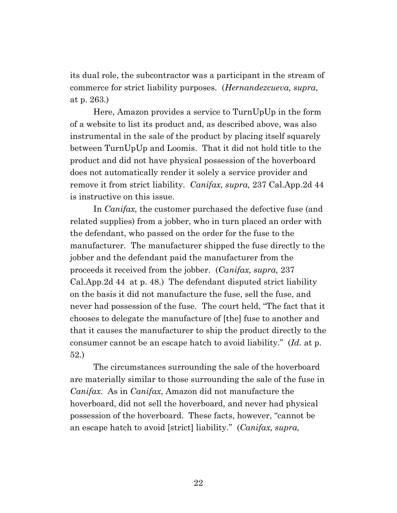its dual role, the subcontractor was a participant in the stream of commerce for strict liability purposes. (*Hernandezcueva, supra,*  at p. 263.)

Here, Amazon provides a service to TurnUpUp in the form of a website to list its product and, as described above, was also instrumental in the sale of the product by placing itself squarely between TurnUpUp and Loomis. That it did not hold title to the product and did not have physical possession of the hoverboard does not automatically render it solely a service provider and remove it from strict liability. *Canifax, supra,* 237 Cal.App.2d 44 is instructive on this issue.

In *Canifax,* the customer purchased the defective fuse (and related supplies) from a jobber, who in turn placed an order with the defendant, who passed on the order for the fuse to the manufacturer. The manufacturer shipped the fuse directly to the jobber and the defendant paid the manufacturer from the proceeds it received from the jobber. (*Canifax, supra,* 237 Cal.App.2d 44 at p. 48.) The defendant disputed strict liability on the basis it did not manufacture the fuse, sell the fuse, and never had possession of the fuse. The court held, "The fact that it chooses to delegate the manufacture of [the] fuse to another and that it causes the manufacturer to ship the product directly to the consumer cannot be an escape hatch to avoid liability." (*Id.* at p. 52.)

The circumstances surrounding the sale of the hoverboard are materially similar to those surrounding the sale of the fuse in *Canifax.* As in *Canifax*, Amazon did not manufacture the hoverboard, did not sell the hoverboard, and never had physical possession of the hoverboard. These facts, however, "cannot be an escape hatch to avoid [strict] liability." (*Canifax, supra,*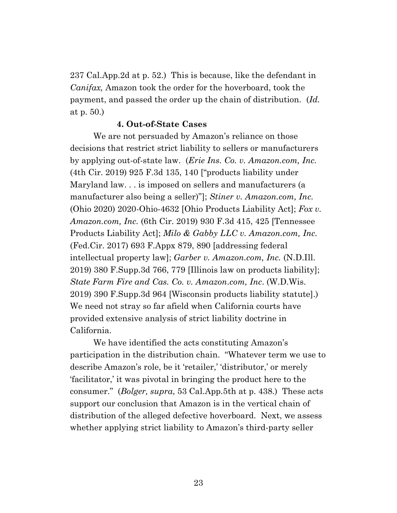237 Cal.App.2d at p. 52.) This is because, like the defendant in *Canifax,* Amazon took the order for the hoverboard, took the payment, and passed the order up the chain of distribution. (*Id.*  at p. 50.)

#### **4. Out-of-State Cases**

We are not persuaded by Amazon's reliance on those decisions that restrict strict liability to sellers or manufacturers by applying out-of-state law. (*Erie Ins. Co. v. Amazon.com, Inc.* (4th Cir. 2019) 925 F.3d 135, 140 ["products liability under Maryland law. . . is imposed on sellers and manufacturers (a manufacturer also being a seller)"]; *Stiner v. Amazon.com, Inc.*  (Ohio 2020) 2020-Ohio-4632 [Ohio Products Liability Act]; *Fox v. Amazon.com, Inc.* (6th Cir. 2019) 930 F.3d 415, 425 [Tennessee Products Liability Act]; *Milo & Gabby LLC v. Amazon.com, Inc.* (Fed.Cir. 2017) 693 F.Appx 879, 890 [addressing federal intellectual property law]; *Garber v. Amazon.com, Inc.* (N.D.Ill. 2019) 380 F.Supp.3d 766, 779 [Illinois law on products liability]; *State Farm Fire and Cas. Co. v. Amazon.com, Inc*. (W.D.Wis. 2019) 390 F.Supp.3d 964 [Wisconsin products liability statute].) We need not stray so far afield when California courts have provided extensive analysis of strict liability doctrine in California.

We have identified the acts constituting Amazon's participation in the distribution chain. "Whatever term we use to describe Amazon's role, be it 'retailer,' 'distributor,' or merely 'facilitator,' it was pivotal in bringing the product here to the consumer." (*Bolger, supra*, 53 Cal.App.5th at p. 438.) These acts support our conclusion that Amazon is in the vertical chain of distribution of the alleged defective hoverboard. Next, we assess whether applying strict liability to Amazon's third-party seller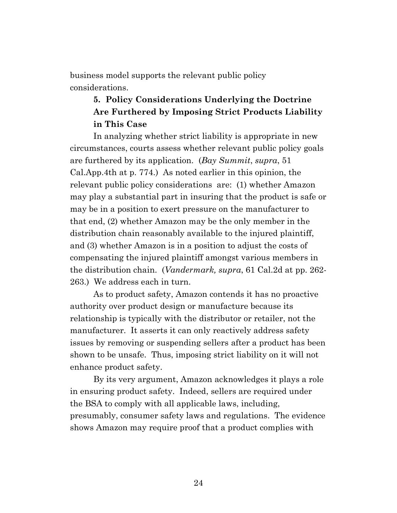business model supports the relevant public policy considerations.

# **5. Policy Considerations Underlying the Doctrine Are Furthered by Imposing Strict Products Liability in This Case**

In analyzing whether strict liability is appropriate in new circumstances, courts assess whether relevant public policy goals are furthered by its application. (*Bay Summit*, *supra*, 51 Cal.App.4th at p. 774.) As noted earlier in this opinion, the relevant public policy considerations are: (1) whether Amazon may play a substantial part in insuring that the product is safe or may be in a position to exert pressure on the manufacturer to that end, (2) whether Amazon may be the only member in the distribution chain reasonably available to the injured plaintiff, and (3) whether Amazon is in a position to adjust the costs of compensating the injured plaintiff amongst various members in the distribution chain. (*Vandermark, supra*, 61 Cal.2d at pp. 262- 263.) We address each in turn.

As to product safety, Amazon contends it has no proactive authority over product design or manufacture because its relationship is typically with the distributor or retailer, not the manufacturer. It asserts it can only reactively address safety issues by removing or suspending sellers after a product has been shown to be unsafe. Thus, imposing strict liability on it will not enhance product safety.

By its very argument, Amazon acknowledges it plays a role in ensuring product safety. Indeed, sellers are required under the BSA to comply with all applicable laws, including, presumably, consumer safety laws and regulations. The evidence shows Amazon may require proof that a product complies with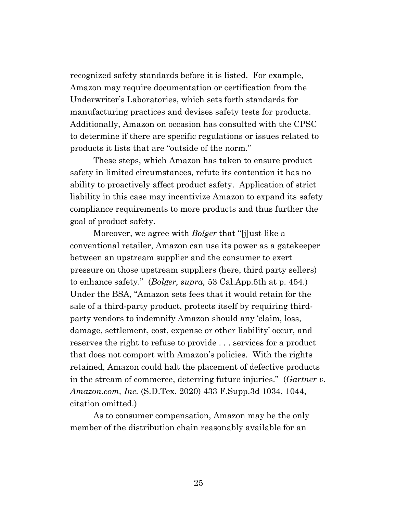recognized safety standards before it is listed. For example, Amazon may require documentation or certification from the Underwriter's Laboratories, which sets forth standards for manufacturing practices and devises safety tests for products. Additionally, Amazon on occasion has consulted with the CPSC to determine if there are specific regulations or issues related to products it lists that are "outside of the norm."

These steps, which Amazon has taken to ensure product safety in limited circumstances, refute its contention it has no ability to proactively affect product safety. Application of strict liability in this case may incentivize Amazon to expand its safety compliance requirements to more products and thus further the goal of product safety.

Moreover, we agree with *Bolger* that "[j]ust like a conventional retailer, Amazon can use its power as a gatekeeper between an upstream supplier and the consumer to exert pressure on those upstream suppliers (here, third party sellers) to enhance safety." (*Bolger, supra,* 53 Cal.App.5th at p. 454.) Under the BSA, "Amazon sets fees that it would retain for the sale of a third-party product, protects itself by requiring thirdparty vendors to indemnify Amazon should any 'claim, loss, damage, settlement, cost, expense or other liability' occur, and reserves the right to refuse to provide . . . services for a product that does not comport with Amazon's policies. With the rights retained, Amazon could halt the placement of defective products in the stream of commerce, deterring future injuries." (*Gartner v. Amazon.com, Inc.* (S.D.Tex. 2020) 433 F.Supp.3d 1034, 1044, citation omitted.)

As to consumer compensation, Amazon may be the only member of the distribution chain reasonably available for an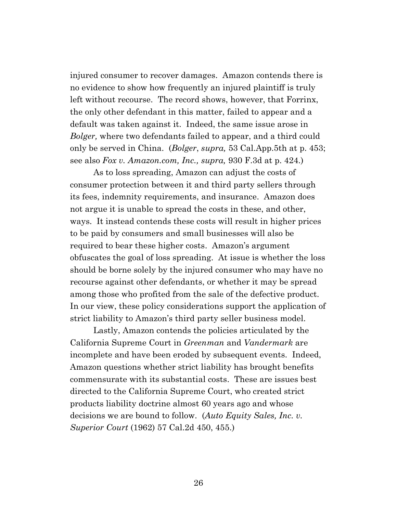injured consumer to recover damages. Amazon contends there is no evidence to show how frequently an injured plaintiff is truly left without recourse. The record shows, however, that Forrinx, the only other defendant in this matter, failed to appear and a default was taken against it. Indeed, the same issue arose in *Bolger,* where two defendants failed to appear, and a third could only be served in China. (*Bolger*, *supra,* 53 Cal.App.5th at p. 453; see also *Fox v. Amazon.com, Inc., supra,* 930 F.3d at p. 424.)

As to loss spreading, Amazon can adjust the costs of consumer protection between it and third party sellers through its fees, indemnity requirements, and insurance. Amazon does not argue it is unable to spread the costs in these, and other, ways. It instead contends these costs will result in higher prices to be paid by consumers and small businesses will also be required to bear these higher costs. Amazon's argument obfuscates the goal of loss spreading. At issue is whether the loss should be borne solely by the injured consumer who may have no recourse against other defendants, or whether it may be spread among those who profited from the sale of the defective product. In our view, these policy considerations support the application of strict liability to Amazon's third party seller business model.

Lastly, Amazon contends the policies articulated by the California Supreme Court in *Greenman* and *Vandermark* are incomplete and have been eroded by subsequent events. Indeed, Amazon questions whether strict liability has brought benefits commensurate with its substantial costs. These are issues best directed to the California Supreme Court, who created strict products liability doctrine almost 60 years ago and whose decisions we are bound to follow. (*Auto Equity Sales, Inc. v. Superior Court* (1962) 57 Cal.2d 450, 455.)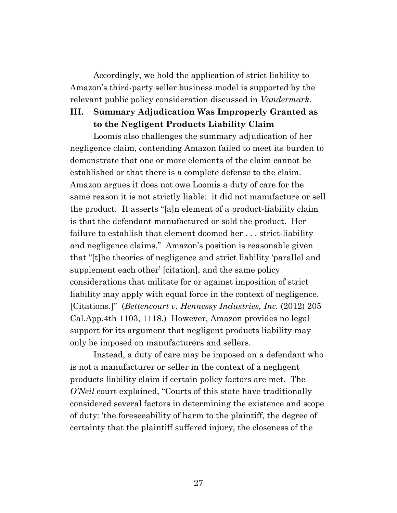Accordingly, we hold the application of strict liability to Amazon's third-party seller business model is supported by the relevant public policy consideration discussed in *Vandermark*.

# **III. Summary Adjudication Was Improperly Granted as to the Negligent Products Liability Claim**

Loomis also challenges the summary adjudication of her negligence claim, contending Amazon failed to meet its burden to demonstrate that one or more elements of the claim cannot be established or that there is a complete defense to the claim. Amazon argues it does not owe Loomis a duty of care for the same reason it is not strictly liable: it did not manufacture or sell the product. It asserts "[a]n element of a product-liability claim is that the defendant manufactured or sold the product. Her failure to establish that element doomed her . . . strict-liability and negligence claims." Amazon's position is reasonable given that "[t]he theories of negligence and strict liability 'parallel and supplement each other' [citation], and the same policy considerations that militate for or against imposition of strict liability may apply with equal force in the context of negligence. [Citations.]" (*Bettencourt v. Hennessy Industries, Inc.* (2012) 205 Cal.App.4th 1103, 1118.) However, Amazon provides no legal support for its argument that negligent products liability may only be imposed on manufacturers and sellers.

Instead, a duty of care may be imposed on a defendant who is not a manufacturer or seller in the context of a negligent products liability claim if certain policy factors are met. The *O'Neil* court explained, "Courts of this state have traditionally considered several factors in determining the existence and scope of duty: 'the foreseeability of harm to the plaintiff, the degree of certainty that the plaintiff suffered injury, the closeness of the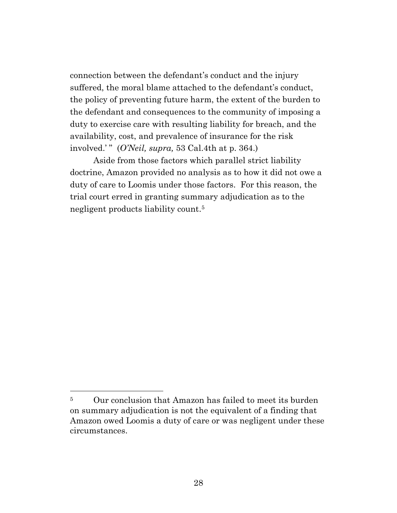connection between the defendant's conduct and the injury suffered, the moral blame attached to the defendant's conduct, the policy of preventing future harm, the extent of the burden to the defendant and consequences to the community of imposing a duty to exercise care with resulting liability for breach, and the availability, cost, and prevalence of insurance for the risk involved.' " (*O'Neil, supra,* 53 Cal.4th at p. 364.)

Aside from those factors which parallel strict liability doctrine, Amazon provided no analysis as to how it did not owe a duty of care to Loomis under those factors. For this reason, the trial court erred in granting summary adjudication as to the negligent products liability count.<sup>5</sup>

<sup>&</sup>lt;sup>5</sup> Our conclusion that Amazon has failed to meet its burden on summary adjudication is not the equivalent of a finding that Amazon owed Loomis a duty of care or was negligent under these circumstances.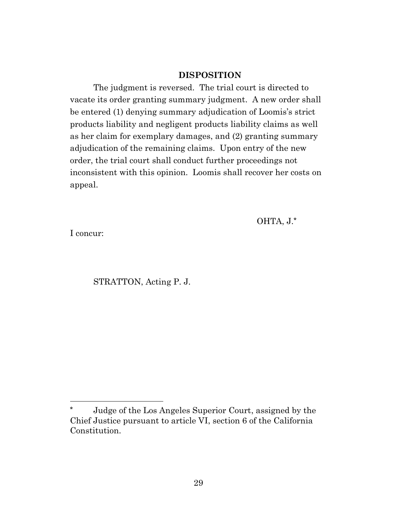## **DISPOSITION**

The judgment is reversed. The trial court is directed to vacate its order granting summary judgment. A new order shall be entered (1) denying summary adjudication of Loomis's strict products liability and negligent products liability claims as well as her claim for exemplary damages, and (2) granting summary adjudication of the remaining claims. Upon entry of the new order, the trial court shall conduct further proceedings not inconsistent with this opinion. Loomis shall recover her costs on appeal.

OHTA, J.**\***

I concur:

STRATTON, Acting P. J.

**<sup>\*</sup>** Judge of the Los Angeles Superior Court, assigned by the Chief Justice pursuant to article VI, section 6 of the California Constitution.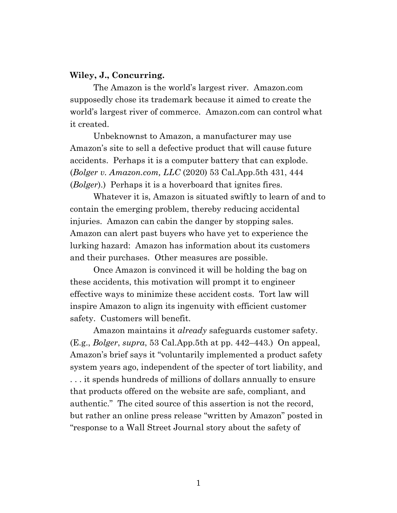#### **Wiley, J., Concurring.**

The Amazon is the world's largest river. Amazon.com supposedly chose its trademark because it aimed to create the world's largest river of commerce. Amazon.com can control what it created.

Unbeknownst to Amazon, a manufacturer may use Amazon's site to sell a defective product that will cause future accidents. Perhaps it is a computer battery that can explode. (*Bolger v. Amazon.com, LLC* (2020) 53 Cal.App.5th 431, 444 (*Bolger*).) Perhaps it is a hoverboard that ignites fires.

Whatever it is, Amazon is situated swiftly to learn of and to contain the emerging problem, thereby reducing accidental injuries. Amazon can cabin the danger by stopping sales. Amazon can alert past buyers who have yet to experience the lurking hazard: Amazon has information about its customers and their purchases. Other measures are possible.

Once Amazon is convinced it will be holding the bag on these accidents, this motivation will prompt it to engineer effective ways to minimize these accident costs. Tort law will inspire Amazon to align its ingenuity with efficient customer safety. Customers will benefit.

Amazon maintains it *already* safeguards customer safety. (E.g., *Bolger*, *supra*, 53 Cal.App.5th at pp. 442–443.) On appeal, Amazon's brief says it "voluntarily implemented a product safety system years ago, independent of the specter of tort liability, and . . . it spends hundreds of millions of dollars annually to ensure that products offered on the website are safe, compliant, and authentic." The cited source of this assertion is not the record, but rather an online press release "written by Amazon" posted in "response to a Wall Street Journal story about the safety of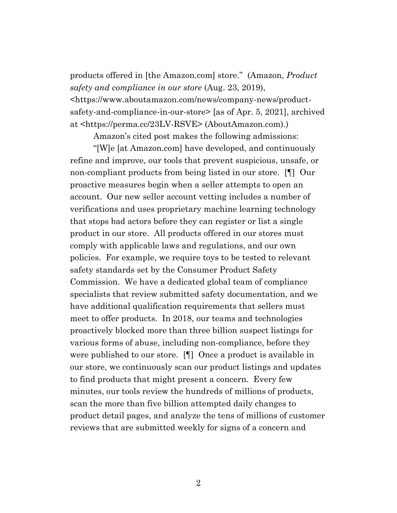products offered in [the Amazon.com] store." (Amazon, *Product safety and compliance in our store* (Aug. 23, 2019), <https://www.aboutamazon.com/news/company-news/productsafety-and-compliance-in-our-store> [as of Apr. 5, 2021], archived at <https://perma.cc/23LV-RSVE> (AboutAmazon.com).)

Amazon's cited post makes the following admissions:

"[W]e [at Amazon.com] have developed, and continuously refine and improve, our tools that prevent suspicious, unsafe, or non-compliant products from being listed in our store. [¶] Our proactive measures begin when a seller attempts to open an account. Our new seller account vetting includes a number of verifications and uses proprietary machine learning technology that stops bad actors before they can register or list a single product in our store. All products offered in our stores must comply with applicable laws and regulations, and our own policies. For example, we require toys to be tested to relevant safety standards set by the Consumer Product Safety Commission. We have a dedicated global team of compliance specialists that review submitted safety documentation, and we have additional qualification requirements that sellers must meet to offer products. In 2018, our teams and technologies proactively blocked more than three billion suspect listings for various forms of abuse, including non-compliance, before they were published to our store. [¶] Once a product is available in our store, we continuously scan our product listings and updates to find products that might present a concern. Every few minutes, our tools review the hundreds of millions of products, scan the more than five billion attempted daily changes to product detail pages, and analyze the tens of millions of customer reviews that are submitted weekly for signs of a concern and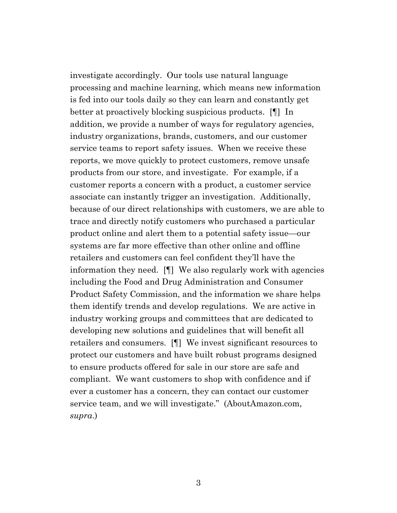investigate accordingly. Our tools use natural language processing and machine learning, which means new information is fed into our tools daily so they can learn and constantly get better at proactively blocking suspicious products. [¶] In addition, we provide a number of ways for regulatory agencies, industry organizations, brands, customers, and our customer service teams to report safety issues. When we receive these reports, we move quickly to protect customers, remove unsafe products from our store, and investigate. For example, if a customer reports a concern with a product, a customer service associate can instantly trigger an investigation. Additionally, because of our direct relationships with customers, we are able to trace and directly notify customers who purchased a particular product online and alert them to a potential safety issue—our systems are far more effective than other online and offline retailers and customers can feel confident they'll have the information they need. [¶] We also regularly work with agencies including the Food and Drug Administration and Consumer Product Safety Commission, and the information we share helps them identify trends and develop regulations. We are active in industry working groups and committees that are dedicated to developing new solutions and guidelines that will benefit all retailers and consumers. [¶] We invest significant resources to protect our customers and have built robust programs designed to ensure products offered for sale in our store are safe and compliant. We want customers to shop with confidence and if ever a customer has a concern, they can contact our customer service team, and we will investigate." (AboutAmazon.com, *supra*.)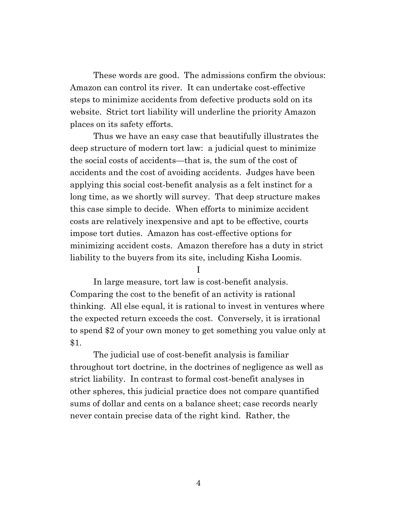These words are good. The admissions confirm the obvious: Amazon can control its river. It can undertake cost-effective steps to minimize accidents from defective products sold on its website. Strict tort liability will underline the priority Amazon places on its safety efforts.

Thus we have an easy case that beautifully illustrates the deep structure of modern tort law: a judicial quest to minimize the social costs of accidents—that is, the sum of the cost of accidents and the cost of avoiding accidents. Judges have been applying this social cost-benefit analysis as a felt instinct for a long time, as we shortly will survey. That deep structure makes this case simple to decide. When efforts to minimize accident costs are relatively inexpensive and apt to be effective, courts impose tort duties. Amazon has cost-effective options for minimizing accident costs. Amazon therefore has a duty in strict liability to the buyers from its site, including Kisha Loomis.

I

In large measure, tort law is cost-benefit analysis. Comparing the cost to the benefit of an activity is rational thinking. All else equal, it is rational to invest in ventures where the expected return exceeds the cost. Conversely, it is irrational to spend \$2 of your own money to get something you value only at \$1.

The judicial use of cost-benefit analysis is familiar throughout tort doctrine, in the doctrines of negligence as well as strict liability. In contrast to formal cost-benefit analyses in other spheres, this judicial practice does not compare quantified sums of dollar and cents on a balance sheet; case records nearly never contain precise data of the right kind. Rather, the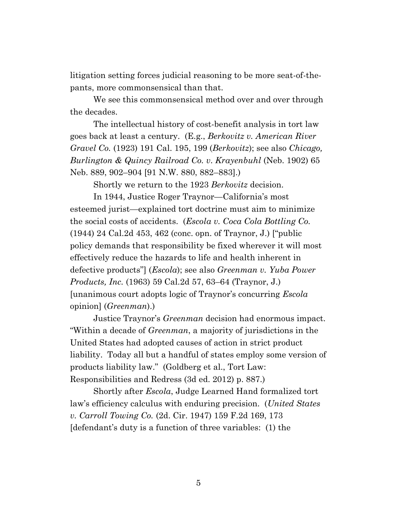litigation setting forces judicial reasoning to be more seat-of-thepants, more commonsensical than that.

We see this commonsensical method over and over through the decades.

The intellectual history of cost-benefit analysis in tort law goes back at least a century. (E.g., *Berkovitz v. American River Gravel Co.* (1923) 191 Cal. 195, 199 (*Berkovitz*); see also *Chicago, Burlington & Quincy Railroad Co. v. Krayenbuhl* (Neb. 1902) 65 Neb. 889, 902–904 [91 N.W. 880, 882–883].)

Shortly we return to the 1923 *Berkovitz* decision.

In 1944, Justice Roger Traynor—California's most esteemed jurist—explained tort doctrine must aim to minimize the social costs of accidents. (*Escola v. Coca Cola Bottling Co.* (1944) 24 Cal.2d 453, 462 (conc. opn. of Traynor, J.) ["public policy demands that responsibility be fixed wherever it will most effectively reduce the hazards to life and health inherent in defective products"] (*Escola*); see also *Greenman v. Yuba Power Products, Inc.* (1963) 59 Cal.2d 57, 63–64 (Traynor, J.) [unanimous court adopts logic of Traynor's concurring *Escola* opinion] (*Greenman*).)

Justice Traynor's *Greenman* decision had enormous impact. "Within a decade of *Greenman*, a majority of jurisdictions in the United States had adopted causes of action in strict product liability. Today all but a handful of states employ some version of products liability law." (Goldberg et al., Tort Law: Responsibilities and Redress (3d ed. 2012) p. 887.)

Shortly after *Escola*, Judge Learned Hand formalized tort law's efficiency calculus with enduring precision. (*United States v. Carroll Towing Co.* (2d. Cir. 1947) 159 F.2d 169, 173 [defendant's duty is a function of three variables: (1) the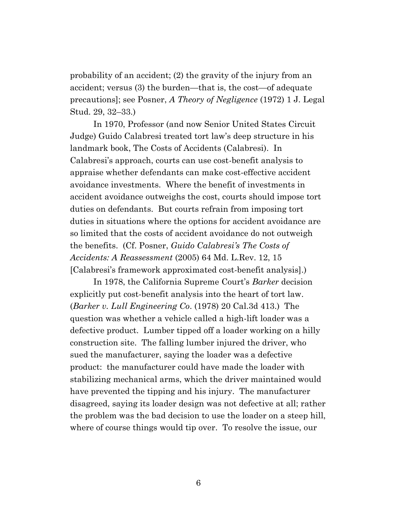probability of an accident; (2) the gravity of the injury from an accident; versus (3) the burden—that is, the cost—of adequate precautions]; see Posner, *A Theory of Negligence* (1972) 1 J. Legal Stud. 29, 32–33.)

In 1970, Professor (and now Senior United States Circuit Judge) Guido Calabresi treated tort law's deep structure in his landmark book, The Costs of Accidents (Calabresi). In Calabresi's approach, courts can use cost-benefit analysis to appraise whether defendants can make cost-effective accident avoidance investments. Where the benefit of investments in accident avoidance outweighs the cost, courts should impose tort duties on defendants. But courts refrain from imposing tort duties in situations where the options for accident avoidance are so limited that the costs of accident avoidance do not outweigh the benefits. (Cf. Posner, *Guido Calabresi's The Costs of Accidents: A Reassessment* (2005) 64 Md. L.Rev. 12, 15 [Calabresi's framework approximated cost-benefit analysis].)

In 1978, the California Supreme Court's *Barker* decision explicitly put cost-benefit analysis into the heart of tort law. (*Barker v. Lull Engineering Co*. (1978) 20 Cal.3d 413.) The question was whether a vehicle called a high-lift loader was a defective product. Lumber tipped off a loader working on a hilly construction site. The falling lumber injured the driver, who sued the manufacturer, saying the loader was a defective product: the manufacturer could have made the loader with stabilizing mechanical arms, which the driver maintained would have prevented the tipping and his injury. The manufacturer disagreed, saying its loader design was not defective at all; rather the problem was the bad decision to use the loader on a steep hill, where of course things would tip over. To resolve the issue, our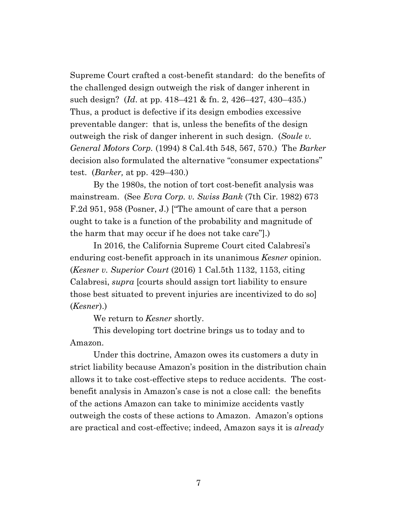Supreme Court crafted a cost-benefit standard: do the benefits of the challenged design outweigh the risk of danger inherent in such design? (*Id*. at pp. 418–421 & fn. 2, 426–427, 430–435.) Thus, a product is defective if its design embodies excessive preventable danger: that is, unless the benefits of the design outweigh the risk of danger inherent in such design. (*Soule v. General Motors Corp.* (1994) 8 Cal.4th 548, 567, 570.) The *Barker*  decision also formulated the alternative "consumer expectations" test. (*Barker,* at pp. 429–430.)

By the 1980s, the notion of tort cost-benefit analysis was mainstream. (See *Evra Corp. v. Swiss Bank* (7th Cir. 1982) 673 F.2d 951, 958 (Posner, J.) ["The amount of care that a person ought to take is a function of the probability and magnitude of the harm that may occur if he does not take care"].)

In 2016, the California Supreme Court cited Calabresi's enduring cost-benefit approach in its unanimous *Kesner* opinion. (*Kesner v. Superior Court* (2016) 1 Cal.5th 1132, 1153, citing Calabresi, *supra* [courts should assign tort liability to ensure those best situated to prevent injuries are incentivized to do so] (*Kesner*).)

We return to *Kesner* shortly.

This developing tort doctrine brings us to today and to Amazon.

Under this doctrine, Amazon owes its customers a duty in strict liability because Amazon's position in the distribution chain allows it to take cost-effective steps to reduce accidents. The costbenefit analysis in Amazon's case is not a close call: the benefits of the actions Amazon can take to minimize accidents vastly outweigh the costs of these actions to Amazon. Amazon's options are practical and cost-effective; indeed, Amazon says it is *already*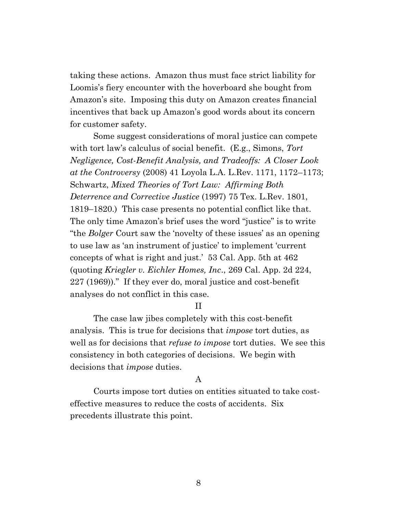taking these actions. Amazon thus must face strict liability for Loomis's fiery encounter with the hoverboard she bought from Amazon's site. Imposing this duty on Amazon creates financial incentives that back up Amazon's good words about its concern for customer safety.

Some suggest considerations of moral justice can compete with tort law's calculus of social benefit. (E.g., Simons, *Tort Negligence, Cost-Benefit Analysis, and Tradeoffs: A Closer Look at the Controversy* (2008) 41 Loyola L.A. L.Rev. 1171, 1172–1173; Schwartz, *Mixed Theories of Tort Law: Affirming Both Deterrence and Corrective Justice* (1997) 75 Tex. L.Rev. 1801, 1819–1820.) This case presents no potential conflict like that. The only time Amazon's brief uses the word "justice" is to write "the *Bolger* Court saw the 'novelty of these issues' as an opening to use law as 'an instrument of justice' to implement 'current concepts of what is right and just.' 53 Cal. App. 5th at 462 (quoting *Kriegler v. Eichler Homes, Inc*., 269 Cal. App. 2d 224, 227 (1969))." If they ever do, moral justice and cost-benefit analyses do not conflict in this case.

#### II

The case law jibes completely with this cost-benefit analysis. This is true for decisions that *impose* tort duties, as well as for decisions that *refuse to impose* tort duties. We see this consistency in both categories of decisions. We begin with decisions that *impose* duties.

## A

Courts impose tort duties on entities situated to take costeffective measures to reduce the costs of accidents. Six precedents illustrate this point.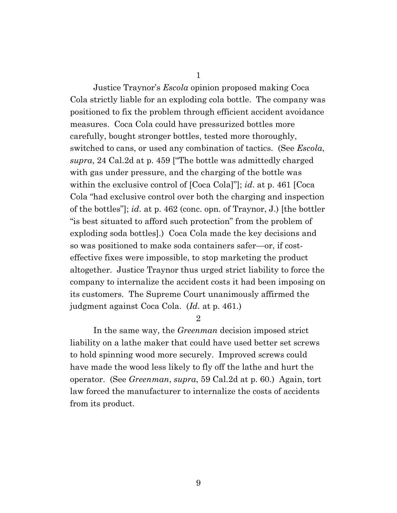1

Justice Traynor's *Escola* opinion proposed making Coca Cola strictly liable for an exploding cola bottle. The company was positioned to fix the problem through efficient accident avoidance measures. Coca Cola could have pressurized bottles more carefully, bought stronger bottles, tested more thoroughly, switched to cans, or used any combination of tactics. (See *Escola*, *supra*, 24 Cal.2d at p. 459 ["The bottle was admittedly charged with gas under pressure, and the charging of the bottle was within the exclusive control of [Coca Cola]"]; *id*. at p. 461 [Coca Cola "had exclusive control over both the charging and inspection of the bottles"]; *id*. at p. 462 (conc. opn. of Traynor, J.) [the bottler "is best situated to afford such protection" from the problem of exploding soda bottles].) Coca Cola made the key decisions and so was positioned to make soda containers safer—or, if costeffective fixes were impossible, to stop marketing the product altogether. Justice Traynor thus urged strict liability to force the company to internalize the accident costs it had been imposing on its customers. The Supreme Court unanimously affirmed the judgment against Coca Cola. (*Id.* at p. 461.)

2

In the same way, the *Greenman* decision imposed strict liability on a lathe maker that could have used better set screws to hold spinning wood more securely. Improved screws could have made the wood less likely to fly off the lathe and hurt the operator. (See *Greenman*, *supra*, 59 Cal.2d at p. 60.) Again, tort law forced the manufacturer to internalize the costs of accidents from its product.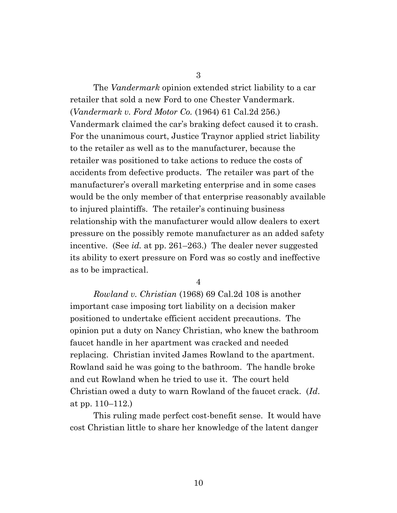3

The *Vandermark* opinion extended strict liability to a car retailer that sold a new Ford to one Chester Vandermark. (*Vandermark v. Ford Motor Co.* (1964) 61 Cal.2d 256.) Vandermark claimed the car's braking defect caused it to crash. For the unanimous court, Justice Traynor applied strict liability to the retailer as well as to the manufacturer, because the retailer was positioned to take actions to reduce the costs of accidents from defective products. The retailer was part of the manufacturer's overall marketing enterprise and in some cases would be the only member of that enterprise reasonably available to injured plaintiffs. The retailer's continuing business relationship with the manufacturer would allow dealers to exert pressure on the possibly remote manufacturer as an added safety incentive. (See *id.* at pp. 261–263.) The dealer never suggested its ability to exert pressure on Ford was so costly and ineffective as to be impractical.

4

*Rowland v. Christian* (1968) 69 Cal.2d 108 is another important case imposing tort liability on a decision maker positioned to undertake efficient accident precautions. The opinion put a duty on Nancy Christian, who knew the bathroom faucet handle in her apartment was cracked and needed replacing. Christian invited James Rowland to the apartment. Rowland said he was going to the bathroom. The handle broke and cut Rowland when he tried to use it. The court held Christian owed a duty to warn Rowland of the faucet crack. (*Id*. at pp. 110–112.)

This ruling made perfect cost-benefit sense. It would have cost Christian little to share her knowledge of the latent danger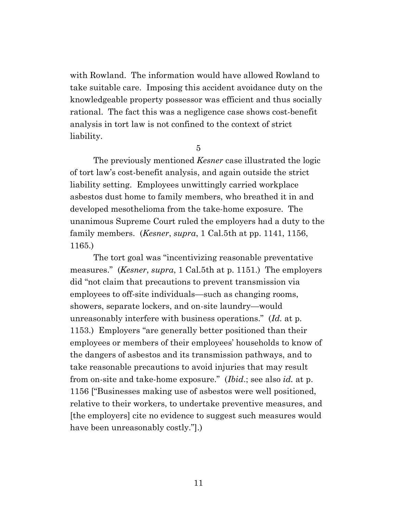with Rowland. The information would have allowed Rowland to take suitable care. Imposing this accident avoidance duty on the knowledgeable property possessor was efficient and thus socially rational. The fact this was a negligence case shows cost-benefit analysis in tort law is not confined to the context of strict liability.

5

The previously mentioned *Kesner* case illustrated the logic of tort law's cost-benefit analysis, and again outside the strict liability setting. Employees unwittingly carried workplace asbestos dust home to family members, who breathed it in and developed mesothelioma from the take-home exposure. The unanimous Supreme Court ruled the employers had a duty to the family members. (*Kesner*, *supra*, 1 Cal.5th at pp. 1141, 1156, 1165.)

The tort goal was "incentivizing reasonable preventative measures." (*Kesner*, *supra*, 1 Cal.5th at p. 1151.) The employers did "not claim that precautions to prevent transmission via employees to off-site individuals—such as changing rooms, showers, separate lockers, and on-site laundry—would unreasonably interfere with business operations." (*Id.* at p. 1153.) Employers "are generally better positioned than their employees or members of their employees' households to know of the dangers of asbestos and its transmission pathways, and to take reasonable precautions to avoid injuries that may result from on-site and take-home exposure." (*Ibid*.; see also *id.* at p. 1156 ["Businesses making use of asbestos were well positioned, relative to their workers, to undertake preventive measures, and [the employers] cite no evidence to suggest such measures would have been unreasonably costly."].)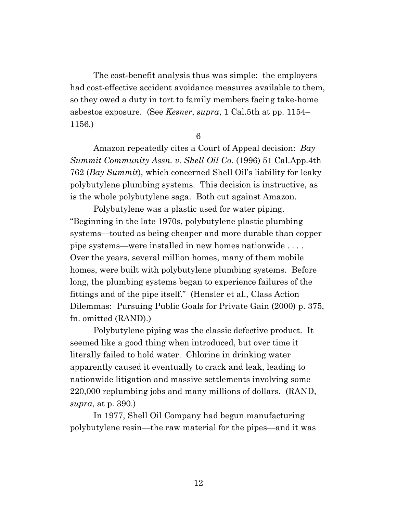The cost-benefit analysis thus was simple: the employers had cost-effective accident avoidance measures available to them, so they owed a duty in tort to family members facing take-home asbestos exposure. (See *Kesner*, *supra*, 1 Cal.5th at pp. 1154– 1156.)

6

Amazon repeatedly cites a Court of Appeal decision: *Bay Summit Community Assn. v. Shell Oil Co.* (1996) 51 Cal.App.4th 762 (*Bay Summit*), which concerned Shell Oil's liability for leaky polybutylene plumbing systems. This decision is instructive, as is the whole polybutylene saga. Both cut against Amazon.

Polybutylene was a plastic used for water piping. "Beginning in the late 1970s, polybutylene plastic plumbing systems—touted as being cheaper and more durable than copper pipe systems—were installed in new homes nationwide . . . . Over the years, several million homes, many of them mobile homes, were built with polybutylene plumbing systems. Before long, the plumbing systems began to experience failures of the fittings and of the pipe itself." (Hensler et al., Class Action Dilemmas: Pursuing Public Goals for Private Gain (2000) p. 375, fn. omitted (RAND).)

Polybutylene piping was the classic defective product. It seemed like a good thing when introduced, but over time it literally failed to hold water. Chlorine in drinking water apparently caused it eventually to crack and leak, leading to nationwide litigation and massive settlements involving some 220,000 replumbing jobs and many millions of dollars. (RAND, *supra*, at p. 390.)

In 1977, Shell Oil Company had begun manufacturing polybutylene resin—the raw material for the pipes—and it was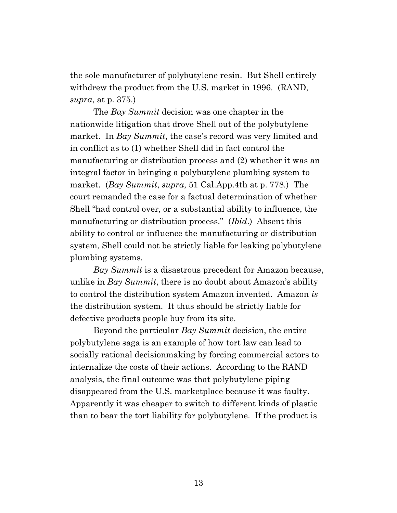the sole manufacturer of polybutylene resin. But Shell entirely withdrew the product from the U.S. market in 1996. (RAND, *supra*, at p. 375.)

The *Bay Summit* decision was one chapter in the nationwide litigation that drove Shell out of the polybutylene market. In *Bay Summit*, the case's record was very limited and in conflict as to (1) whether Shell did in fact control the manufacturing or distribution process and (2) whether it was an integral factor in bringing a polybutylene plumbing system to market. (*Bay Summit*, *supra*, 51 Cal.App.4th at p. 778.) The court remanded the case for a factual determination of whether Shell "had control over, or a substantial ability to influence, the manufacturing or distribution process." (*Ibid*.) Absent this ability to control or influence the manufacturing or distribution system, Shell could not be strictly liable for leaking polybutylene plumbing systems.

*Bay Summit* is a disastrous precedent for Amazon because, unlike in *Bay Summit*, there is no doubt about Amazon's ability to control the distribution system Amazon invented. Amazon *is* the distribution system. It thus should be strictly liable for defective products people buy from its site.

Beyond the particular *Bay Summit* decision, the entire polybutylene saga is an example of how tort law can lead to socially rational decisionmaking by forcing commercial actors to internalize the costs of their actions. According to the RAND analysis, the final outcome was that polybutylene piping disappeared from the U.S. marketplace because it was faulty. Apparently it was cheaper to switch to different kinds of plastic than to bear the tort liability for polybutylene. If the product is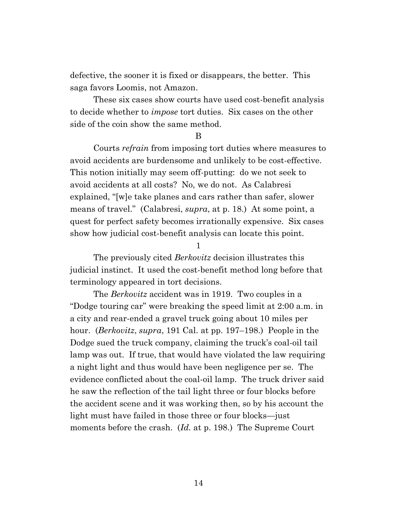defective, the sooner it is fixed or disappears, the better. This saga favors Loomis, not Amazon.

These six cases show courts have used cost-benefit analysis to decide whether to *impose* tort duties. Six cases on the other side of the coin show the same method.

B

Courts *refrain* from imposing tort duties where measures to avoid accidents are burdensome and unlikely to be cost-effective. This notion initially may seem off-putting: do we not seek to avoid accidents at all costs? No, we do not. As Calabresi explained, "[w]e take planes and cars rather than safer, slower means of travel." (Calabresi, *supra*, at p. 18.) At some point, a quest for perfect safety becomes irrationally expensive. Six cases show how judicial cost-benefit analysis can locate this point.

1

The previously cited *Berkovitz* decision illustrates this judicial instinct. It used the cost-benefit method long before that terminology appeared in tort decisions.

The *Berkovitz* accident was in 1919. Two couples in a "Dodge touring car" were breaking the speed limit at 2:00 a.m. in a city and rear-ended a gravel truck going about 10 miles per hour. (*Berkovitz*, *supra*, 191 Cal. at pp. 197–198.) People in the Dodge sued the truck company, claiming the truck's coal-oil tail lamp was out. If true, that would have violated the law requiring a night light and thus would have been negligence per se. The evidence conflicted about the coal-oil lamp. The truck driver said he saw the reflection of the tail light three or four blocks before the accident scene and it was working then, so by his account the light must have failed in those three or four blocks—just moments before the crash. (*Id.* at p. 198.) The Supreme Court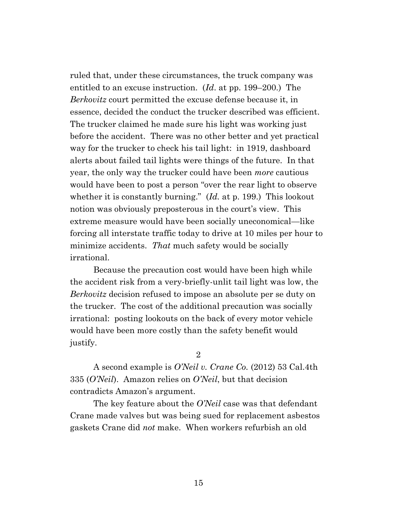ruled that, under these circumstances, the truck company was entitled to an excuse instruction. (*Id*. at pp. 199–200.) The *Berkovitz* court permitted the excuse defense because it, in essence, decided the conduct the trucker described was efficient. The trucker claimed he made sure his light was working just before the accident. There was no other better and yet practical way for the trucker to check his tail light: in 1919, dashboard alerts about failed tail lights were things of the future. In that year, the only way the trucker could have been *more* cautious would have been to post a person "over the rear light to observe whether it is constantly burning." (*Id.* at p. 199.) This lookout notion was obviously preposterous in the court's view. This extreme measure would have been socially uneconomical—like forcing all interstate traffic today to drive at 10 miles per hour to minimize accidents. *That* much safety would be socially irrational.

Because the precaution cost would have been high while the accident risk from a very-briefly-unlit tail light was low, the *Berkovitz* decision refused to impose an absolute per se duty on the trucker. The cost of the additional precaution was socially irrational: posting lookouts on the back of every motor vehicle would have been more costly than the safety benefit would justify.

2

A second example is *O'Neil v. Crane Co.* (2012) 53 Cal.4th 335 (*O'Neil*). Amazon relies on *O'Neil*, but that decision contradicts Amazon's argument.

The key feature about the *O'Neil* case was that defendant Crane made valves but was being sued for replacement asbestos gaskets Crane did *not* make. When workers refurbish an old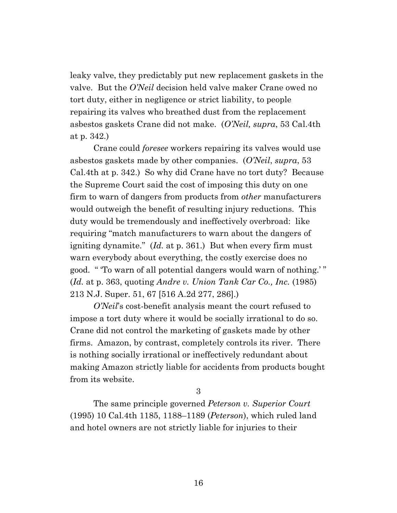leaky valve, they predictably put new replacement gaskets in the valve. But the *O'Neil* decision held valve maker Crane owed no tort duty, either in negligence or strict liability, to people repairing its valves who breathed dust from the replacement asbestos gaskets Crane did not make. (*O'Neil, supra*, 53 Cal.4th at p. 342.)

Crane could *foresee* workers repairing its valves would use asbestos gaskets made by other companies. (*O'Neil*, *supra*, 53 Cal.4th at p. 342.) So why did Crane have no tort duty? Because the Supreme Court said the cost of imposing this duty on one firm to warn of dangers from products from *other* manufacturers would outweigh the benefit of resulting injury reductions. This duty would be tremendously and ineffectively overbroad: like requiring "match manufacturers to warn about the dangers of igniting dynamite." (*Id.* at p. 361.) But when every firm must warn everybody about everything, the costly exercise does no good. " 'To warn of all potential dangers would warn of nothing.' " (*Id.* at p. 363, quoting *Andre v. Union Tank Car Co., Inc.* (1985) 213 N.J. Super. 51, 67 [516 A.2d 277, 286].)

*O'Neil*'s cost-benefit analysis meant the court refused to impose a tort duty where it would be socially irrational to do so. Crane did not control the marketing of gaskets made by other firms. Amazon, by contrast, completely controls its river. There is nothing socially irrational or ineffectively redundant about making Amazon strictly liable for accidents from products bought from its website.

3

The same principle governed *Peterson v. Superior Court* (1995) 10 Cal.4th 1185, 1188–1189 (*Peterson*), which ruled land and hotel owners are not strictly liable for injuries to their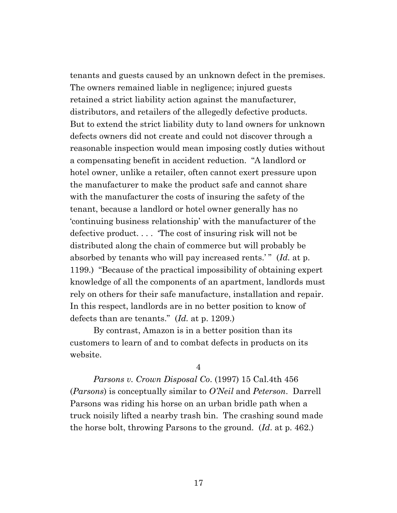tenants and guests caused by an unknown defect in the premises. The owners remained liable in negligence; injured guests retained a strict liability action against the manufacturer, distributors, and retailers of the allegedly defective products. But to extend the strict liability duty to land owners for unknown defects owners did not create and could not discover through a reasonable inspection would mean imposing costly duties without a compensating benefit in accident reduction. "A landlord or hotel owner, unlike a retailer, often cannot exert pressure upon the manufacturer to make the product safe and cannot share with the manufacturer the costs of insuring the safety of the tenant, because a landlord or hotel owner generally has no 'continuing business relationship' with the manufacturer of the defective product. . . . 'The cost of insuring risk will not be distributed along the chain of commerce but will probably be absorbed by tenants who will pay increased rents.'" (*Id.* at p. 1199.) "Because of the practical impossibility of obtaining expert knowledge of all the components of an apartment, landlords must rely on others for their safe manufacture, installation and repair. In this respect, landlords are in no better position to know of defects than are tenants." (*Id.* at p. 1209.)

By contrast, Amazon is in a better position than its customers to learn of and to combat defects in products on its website.

4

*Parsons v. Crown Disposal Co*. (1997) 15 Cal.4th 456 (*Parsons*) is conceptually similar to *O'Neil* and *Peterson*. Darrell Parsons was riding his horse on an urban bridle path when a truck noisily lifted a nearby trash bin. The crashing sound made the horse bolt, throwing Parsons to the ground. (*Id*. at p. 462.)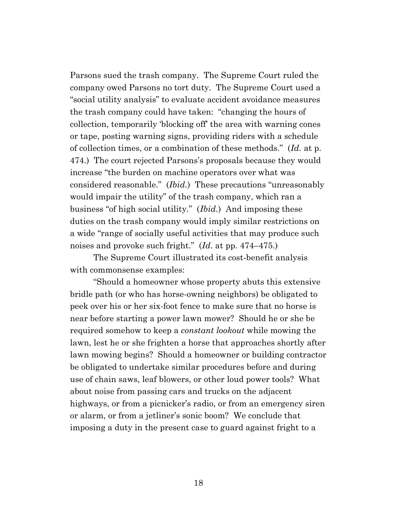Parsons sued the trash company. The Supreme Court ruled the company owed Parsons no tort duty. The Supreme Court used a "social utility analysis" to evaluate accident avoidance measures the trash company could have taken: "changing the hours of collection, temporarily 'blocking off' the area with warning cones or tape, posting warning signs, providing riders with a schedule of collection times, or a combination of these methods." (*Id.* at p. 474.) The court rejected Parsons's proposals because they would increase "the burden on machine operators over what was considered reasonable." (*Ibid.*) These precautions "unreasonably would impair the utility" of the trash company, which ran a business "of high social utility." (*Ibid.*) And imposing these duties on the trash company would imply similar restrictions on a wide "range of socially useful activities that may produce such noises and provoke such fright." (*Id*. at pp. 474–475.)

The Supreme Court illustrated its cost-benefit analysis with commonsense examples:

"Should a homeowner whose property abuts this extensive bridle path (or who has horse-owning neighbors) be obligated to peek over his or her six-foot fence to make sure that no horse is near before starting a power lawn mower? Should he or she be required somehow to keep a *constant lookout* while mowing the lawn, lest he or she frighten a horse that approaches shortly after lawn mowing begins? Should a homeowner or building contractor be obligated to undertake similar procedures before and during use of chain saws, leaf blowers, or other loud power tools? What about noise from passing cars and trucks on the adjacent highways, or from a picnicker's radio, or from an emergency siren or alarm, or from a jetliner's sonic boom? We conclude that imposing a duty in the present case to guard against fright to a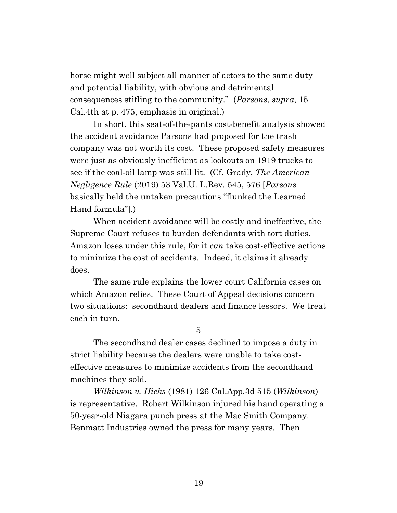horse might well subject all manner of actors to the same duty and potential liability, with obvious and detrimental consequences stifling to the community." (*Parsons*, *supra*, 15 Cal.4th at p. 475, emphasis in original.)

In short, this seat-of-the-pants cost-benefit analysis showed the accident avoidance Parsons had proposed for the trash company was not worth its cost. These proposed safety measures were just as obviously inefficient as lookouts on 1919 trucks to see if the coal-oil lamp was still lit. (Cf. Grady, *The American Negligence Rule* (2019) 53 Val.U. L.Rev. 545, 576 [*Parsons* basically held the untaken precautions "flunked the Learned Hand formula"].)

When accident avoidance will be costly and ineffective, the Supreme Court refuses to burden defendants with tort duties. Amazon loses under this rule, for it *can* take cost-effective actions to minimize the cost of accidents. Indeed, it claims it already does.

The same rule explains the lower court California cases on which Amazon relies. These Court of Appeal decisions concern two situations: secondhand dealers and finance lessors. We treat each in turn.

5

The secondhand dealer cases declined to impose a duty in strict liability because the dealers were unable to take costeffective measures to minimize accidents from the secondhand machines they sold.

*Wilkinson v. Hicks* (1981) 126 Cal.App.3d 515 (*Wilkinson*) is representative. Robert Wilkinson injured his hand operating a 50-year-old Niagara punch press at the Mac Smith Company. Benmatt Industries owned the press for many years. Then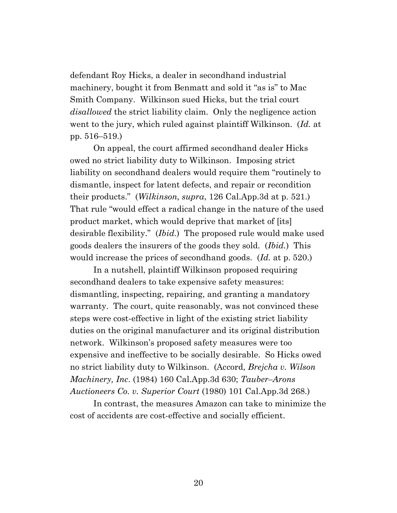defendant Roy Hicks, a dealer in secondhand industrial machinery, bought it from Benmatt and sold it "as is" to Mac Smith Company. Wilkinson sued Hicks, but the trial court *disallowed* the strict liability claim. Only the negligence action went to the jury, which ruled against plaintiff Wilkinson. (*Id.* at pp. 516–519.)

On appeal, the court affirmed secondhand dealer Hicks owed no strict liability duty to Wilkinson. Imposing strict liability on secondhand dealers would require them "routinely to dismantle, inspect for latent defects, and repair or recondition their products." (*Wilkinson, supra*, 126 Cal.App.3d at p. 521.) That rule "would effect a radical change in the nature of the used product market, which would deprive that market of [its] desirable flexibility." (*Ibid.*) The proposed rule would make used goods dealers the insurers of the goods they sold. (*Ibid.*) This would increase the prices of secondhand goods. (*Id.* at p. 520.)

In a nutshell, plaintiff Wilkinson proposed requiring secondhand dealers to take expensive safety measures: dismantling, inspecting, repairing, and granting a mandatory warranty. The court, quite reasonably, was not convinced these steps were cost-effective in light of the existing strict liability duties on the original manufacturer and its original distribution network. Wilkinson's proposed safety measures were too expensive and ineffective to be socially desirable. So Hicks owed no strict liability duty to Wilkinson. (Accord, *Brejcha v. Wilson Machinery, Inc*. (1984) 160 Cal.App.3d 630; *Tauber–Arons Auctioneers Co. v. Superior Court* (1980) 101 Cal.App.3d 268.)

In contrast, the measures Amazon can take to minimize the cost of accidents are cost-effective and socially efficient.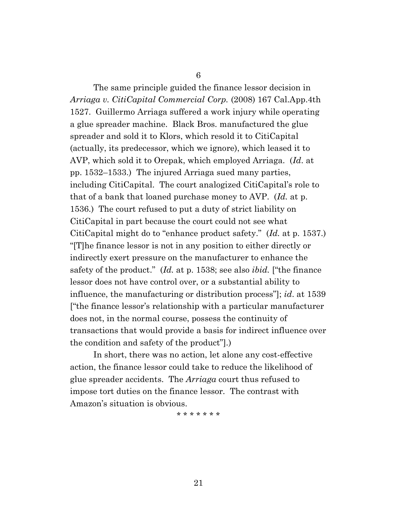6

The same principle guided the finance lessor decision in *Arriaga v. CitiCapital Commercial Corp.* (2008) 167 Cal.App.4th 1527. Guillermo Arriaga suffered a work injury while operating a glue spreader machine. Black Bros. manufactured the glue spreader and sold it to Klors, which resold it to CitiCapital (actually, its predecessor, which we ignore), which leased it to AVP, which sold it to Orepak, which employed Arriaga. (*Id*. at pp. 1532–1533.) The injured Arriaga sued many parties, including CitiCapital. The court analogized CitiCapital's role to that of a bank that loaned purchase money to AVP. (*Id.* at p. 1536.) The court refused to put a duty of strict liability on CitiCapital in part because the court could not see what CitiCapital might do to "enhance product safety." (*Id.* at p. 1537.) "[T]he finance lessor is not in any position to either directly or indirectly exert pressure on the manufacturer to enhance the safety of the product." (*Id.* at p. 1538; see also *ibid.* ["the finance lessor does not have control over, or a substantial ability to influence, the manufacturing or distribution process"]; *id*. at 1539 ["the finance lessor's relationship with a particular manufacturer does not, in the normal course, possess the continuity of transactions that would provide a basis for indirect influence over the condition and safety of the product"].)

In short, there was no action, let alone any cost-effective action, the finance lessor could take to reduce the likelihood of glue spreader accidents. The *Arriaga* court thus refused to impose tort duties on the finance lessor. The contrast with Amazon's situation is obvious.

\* \* \* \* \* \* \*